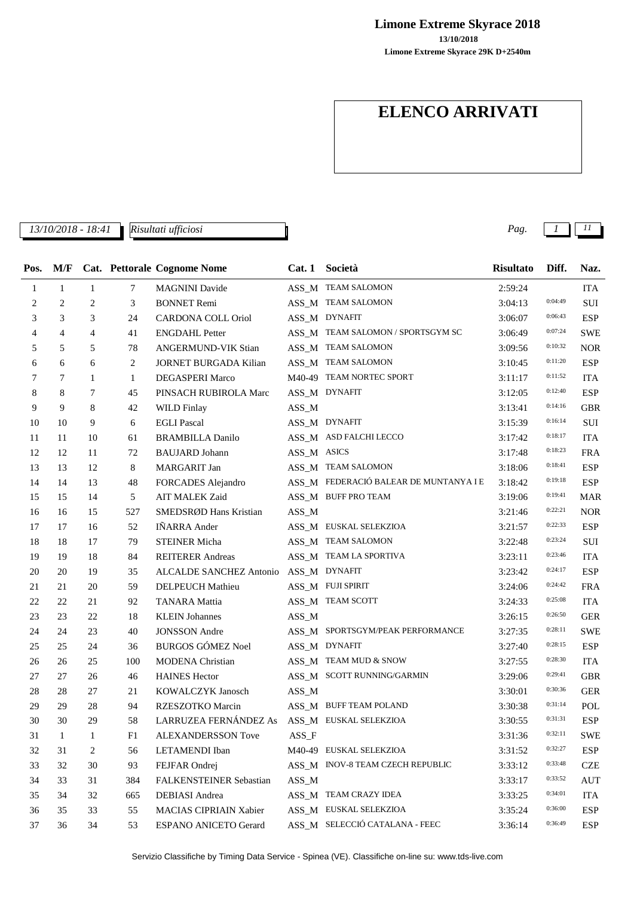**13/10/2018 Limone Extreme Skyrace 2018**

**Limone Extreme Skyrace 29K D+2540m**

# **ELENCO ARRIVATI**

*13/10/2018 - 18:41 Pag. 1 11 Risultati ufficiosi*

| Pos. | M/F            |                |     | Cat. Pettorale Cognome Nome   | Cat.1       | Società                                | <b>Risultato</b> | Diff.   | Naz.       |
|------|----------------|----------------|-----|-------------------------------|-------------|----------------------------------------|------------------|---------|------------|
| 1    | $\mathbf{1}$   | $\mathbf{1}$   | 7   | <b>MAGNINI</b> Davide         |             | ASS_M TEAM SALOMON                     | 2:59:24          |         | <b>ITA</b> |
| 2    | $\overline{c}$ | $\overline{c}$ | 3   | <b>BONNET Remi</b>            |             | ASS_M TEAM SALOMON                     | 3:04:13          | 0:04:49 | <b>SUI</b> |
| 3    | 3              | 3              | 24  | <b>CARDONA COLL Oriol</b>     |             | ASS_M DYNAFIT                          | 3:06:07          | 0:06:43 | <b>ESP</b> |
| 4    | 4              | 4              | 41  | <b>ENGDAHL Petter</b>         |             | ASS_M TEAM SALOMON / SPORTSGYM SC      | 3:06:49          | 0:07:24 | <b>SWE</b> |
| 5    | 5              | 5              | 78  | ANGERMUND-VIK Stian           |             | ASS_M TEAM SALOMON                     | 3:09:56          | 0:10:32 | <b>NOR</b> |
| 6    | 6              | 6              | 2   | <b>JORNET BURGADA Kilian</b>  |             | ASS_M TEAM SALOMON                     | 3:10:45          | 0:11:20 | <b>ESP</b> |
| 7    | 7              | 1              | 1   | <b>DEGASPERI Marco</b>        |             | M40-49 TEAM NORTEC SPORT               | 3:11:17          | 0:11:52 | <b>ITA</b> |
| 8    | 8              | 7              | 45  | PINSACH RUBIROLA Marc         |             | ASS_M DYNAFIT                          | 3:12:05          | 0:12:40 | <b>ESP</b> |
| 9    | 9              | 8              | 42  | <b>WILD Finlay</b>            | ASS_M       |                                        | 3:13:41          | 0:14:16 | GBR        |
| 10   | 10             | 9              | 6   | <b>EGLI Pascal</b>            |             | ASS_M DYNAFIT                          | 3:15:39          | 0:16:14 | SUI        |
| 11   | 11             | 10             | 61  | <b>BRAMBILLA Danilo</b>       |             | ASS_M ASD FALCHI LECCO                 | 3:17:42          | 0:18:17 | <b>ITA</b> |
| 12   | 12             | 11             | 72  | <b>BAUJARD</b> Johann         | ASS_M ASICS |                                        | 3:17:48          | 0:18:23 | FRA        |
| 13   | 13             | 12             | 8   | MARGARIT Jan                  |             | ASS_M TEAM SALOMON                     | 3:18:06          | 0:18:41 | <b>ESP</b> |
| 14   | 14             | 13             | 48  | FORCADES Alejandro            |             | ASS_M FEDERACIÓ BALEAR DE MUNTANYA I E | 3:18:42          | 0:19:18 | <b>ESP</b> |
| 15   | 15             | 14             | 5   | <b>AIT MALEK Zaid</b>         |             | ASS_M BUFF PRO TEAM                    | 3:19:06          | 0:19:41 | <b>MAR</b> |
| 16   | 16             | 15             | 527 | SMEDSRØD Hans Kristian        | ASS_M       |                                        | 3:21:46          | 0:22:21 | <b>NOR</b> |
| 17   | 17             | 16             | 52  | <b>INARRA</b> Ander           |             | ASS_M EUSKAL SELEKZIOA                 | 3:21:57          | 0:22:33 | <b>ESP</b> |
| 18   | 18             | 17             | 79  | <b>STEINER Micha</b>          |             | ASS_M TEAM SALOMON                     | 3:22:48          | 0:23:24 | SUI        |
| 19   | 19             | 18             | 84  | <b>REITERER Andreas</b>       |             | ASS_M TEAM LA SPORTIVA                 | 3:23:11          | 0:23:46 | <b>ITA</b> |
| 20   | 20             | 19             | 35  | ALCALDE SANCHEZ Antonio       |             | ASS_M DYNAFIT                          | 3:23:42          | 0:24:17 | <b>ESP</b> |
| 21   | 21             | 20             | 59  | DELPEUCH Mathieu              |             | ASS_M FUJI SPIRIT                      | 3:24:06          | 0:24:42 | <b>FRA</b> |
| 22   | 22             | 21             | 92  | <b>TANARA</b> Mattia          |             | ASS_M TEAM SCOTT                       | 3:24:33          | 0:25:08 | <b>ITA</b> |
| 23   | 23             | 22             | 18  | <b>KLEIN Johannes</b>         | $ASS\_M$    |                                        | 3:26:15          | 0:26:50 | <b>GER</b> |
| 24   | 24             | 23             | 40  | <b>JONSSON</b> Andre          |             | ASS_M SPORTSGYM/PEAK PERFORMANCE       | 3:27:35          | 0:28:11 | <b>SWE</b> |
| 25   | 25             | 24             | 36  | <b>BURGOS GÓMEZ Noel</b>      |             | ASS_M DYNAFIT                          | 3:27:40          | 0:28:15 | <b>ESP</b> |
| 26   | 26             | 25             | 100 | <b>MODENA</b> Christian       |             | ASS_M TEAM MUD & SNOW                  | 3:27:55          | 0:28:30 | <b>ITA</b> |
| 27   | 27             | 26             | 46  | <b>HAINES Hector</b>          |             | ASS_M SCOTT RUNNING/GARMIN             | 3:29:06          | 0:29:41 | <b>GBR</b> |
| 28   | 28             | 27             | 21  | KOWALCZYK Janosch             | $ASS\_M$    |                                        | 3:30:01          | 0:30:36 | <b>GER</b> |
| 29   | 29             | 28             | 94  | RZESZOTKO Marcin              |             | ASS_M BUFF TEAM POLAND                 | 3:30:38          | 0:31:14 | POL        |
| 30   | 30             | 29             | 58  | LARRUZEA FERNÁNDEZ As         |             | ASS_M EUSKAL SELEKZIOA                 | 3:30:55          | 0:31:31 | <b>ESP</b> |
| 31   | $\mathbf{1}$   | -1             | F1  | <b>ALEXANDERSSON Tove</b>     | ASS F       |                                        | 3:31:36          | 0:32:11 | <b>SWE</b> |
| 32   | 31             | 2              | 56  | LETAMENDI Iban                |             | M40-49 EUSKAL SELEKZIOA                | 3:31:52          | 0:32:27 | <b>ESP</b> |
| 33   | 32             | 30             | 93  | FEJFAR Ondrej                 |             | ASS M INOV-8 TEAM CZECH REPUBLIC       | 3:33:12          | 0:33:48 | <b>CZE</b> |
| 34   | 33             | 31             | 384 | FALKENSTEINER Sebastian       | ASS_M       |                                        | 3:33:17          | 0:33:52 | <b>AUT</b> |
| 35   | 34             | 32             | 665 | DEBIASI Andrea                |             | ASS_M TEAM CRAZY IDEA                  | 3:33:25          | 0:34:01 | <b>ITA</b> |
| 36   | 35             | 33             | 55  | <b>MACIAS CIPRIAIN Xabier</b> |             | ASS_M EUSKAL SELEKZIOA                 | 3:35:24          | 0:36:00 | ESP        |
| 37   | 36             | 34             | 53  | <b>ESPANO ANICETO Gerard</b>  |             | ASS M SELECCIÓ CATALANA - FEEC         | 3:36:14          | 0:36:49 | <b>ESP</b> |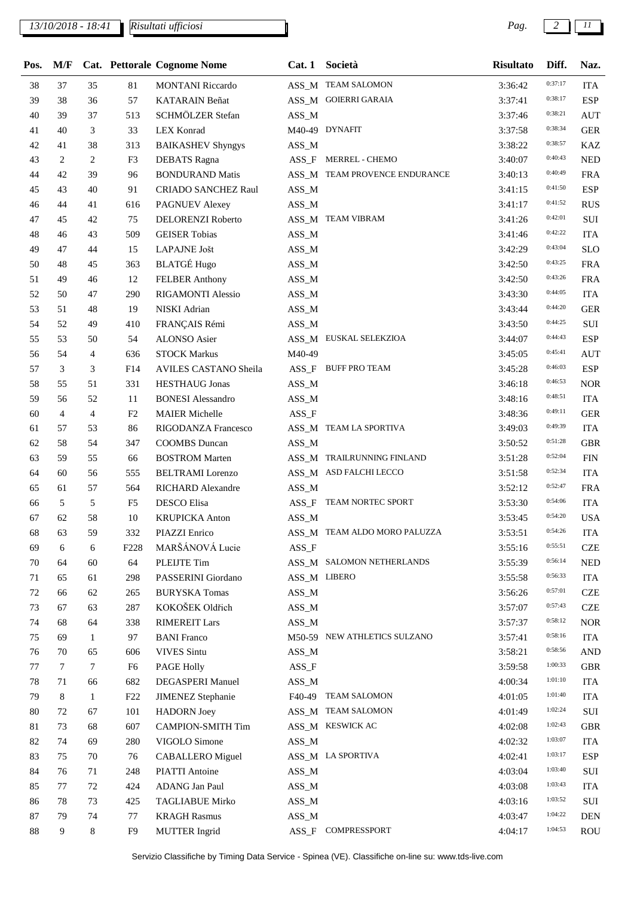## *13/10/2018 - 18:41 Pag. 2 11*

| Pos. | M/F |                |                  | Cat. Pettorale Cognome Nome | Cat.1    | Società                       | <b>Risultato</b> | Diff.   | Naz.       |
|------|-----|----------------|------------------|-----------------------------|----------|-------------------------------|------------------|---------|------------|
| 38   | 37  | 35             | $81\,$           | <b>MONTANI Riccardo</b>     |          | ASS_M TEAM SALOMON            | 3:36:42          | 0:37:17 | <b>ITA</b> |
| 39   | 38  | 36             | 57               | <b>KATARAIN</b> Beñat       |          | ASS_M GOIERRI GARAIA          | 3:37:41          | 0:38:17 | <b>ESP</b> |
| 40   | 39  | 37             | 513              | SCHMÖLZER Stefan            | $ASS\_M$ |                               | 3:37:46          | 0:38:21 | <b>AUT</b> |
| 41   | 40  | 3              | 33               | <b>LEX Konrad</b>           |          | M40-49 DYNAFIT                | 3:37:58          | 0:38:34 | <b>GER</b> |
| 42   | 41  | 38             | 313              | <b>BAIKASHEV Shyngys</b>    | $ASS\_M$ |                               | 3:38:22          | 0:38:57 | <b>KAZ</b> |
| 43   | 2   | 2              | F3               | <b>DEBATS</b> Ragna         | $ASS_F$  | <b>MERREL - CHEMO</b>         | 3:40:07          | 0:40:43 | <b>NED</b> |
| 44   | 42  | 39             | 96               | <b>BONDURAND Matis</b>      |          | ASS_M TEAM PROVENCE ENDURANCE | 3:40:13          | 0:40:49 | <b>FRA</b> |
| 45   | 43  | 40             | 91               | <b>CRIADO SANCHEZ Raul</b>  | $ASS\_M$ |                               | 3:41:15          | 0:41:50 | <b>ESP</b> |
| 46   | 44  | 41             | 616              | PAGNUEV Alexey              | $ASS\_M$ |                               | 3:41:17          | 0:41:52 | <b>RUS</b> |
| 47   | 45  | 42             | 75               | DELORENZI Roberto           |          | ASS_M TEAM VIBRAM             | 3:41:26          | 0:42:01 | SUI        |
| 48   | 46  | 43             | 509              | <b>GEISER Tobias</b>        | $ASS\_M$ |                               | 3:41:46          | 0:42:22 | <b>ITA</b> |
| 49   | 47  | 44             | 15               | LAPAJNE Jošt                | $ASS\_M$ |                               | 3:42:29          | 0:43:04 | <b>SLO</b> |
| 50   | 48  | 45             | 363              | <b>BLATGÉ Hugo</b>          | $ASS\_M$ |                               | 3:42:50          | 0:43:25 | <b>FRA</b> |
| 51   | 49  | 46             | 12               | <b>FELBER Anthony</b>       | $ASS\_M$ |                               | 3:42:50          | 0:43:26 | <b>FRA</b> |
| 52   | 50  | 47             | 290              | RIGAMONTI Alessio           | $ASS\_M$ |                               | 3:43:30          | 0:44:05 | <b>ITA</b> |
| 53   | 51  | 48             | 19               | NISKI Adrian                | $ASS\_M$ |                               | 3:43:44          | 0:44:20 | <b>GER</b> |
| 54   | 52  | 49             | 410              | FRANÇAIS Rémi               | ASS_M    |                               | 3:43:50          | 0:44:25 | SUI        |
| 55   | 53  | 50             | 54               | ALONSO Asier                |          | ASS_M EUSKAL SELEKZIOA        | 3:44:07          | 0:44:43 | <b>ESP</b> |
| 56   | 54  | $\overline{4}$ | 636              | <b>STOCK Markus</b>         | M40-49   |                               | 3:45:05          | 0:45:41 | <b>AUT</b> |
| 57   | 3   | 3              | F14              | AVILES CASTANO Sheila       |          | ASS_F BUFF PRO TEAM           | 3:45:28          | 0:46:03 | <b>ESP</b> |
| 58   | 55  | 51             | 331              | <b>HESTHAUG</b> Jonas       | ASS_M    |                               | 3:46:18          | 0:46:53 | <b>NOR</b> |
| 59   | 56  | 52             | 11               | <b>BONESI</b> Alessandro    | $ASS\_M$ |                               | 3:48:16          | 0:48:51 | <b>ITA</b> |
| 60   | 4   | $\overline{4}$ | F <sub>2</sub>   | <b>MAIER Michelle</b>       | $ASS_F$  |                               | 3:48:36          | 0:49:11 | <b>GER</b> |
| 61   | 57  | 53             | 86               | RIGODANZA Francesco         |          | ASS_M TEAM LA SPORTIVA        | 3:49:03          | 0:49:39 | <b>ITA</b> |
| 62   | 58  | 54             | 347              | <b>COOMBS</b> Duncan        | $ASS\_M$ |                               | 3:50:52          | 0:51:28 | <b>GBR</b> |
| 63   | 59  | 55             | 66               | <b>BOSTROM Marten</b>       |          | ASS_M TRAILRUNNING FINLAND    | 3:51:28          | 0:52:04 | <b>FIN</b> |
| 64   | 60  | 56             | 555              | <b>BELTRAMI</b> Lorenzo     |          | ASS_M ASD FALCHI LECCO        | 3:51:58          | 0:52:34 | <b>ITA</b> |
| 65   | 61  | 57             | 564              | <b>RICHARD Alexandre</b>    | $ASS\_M$ |                               | 3:52:12          | 0:52:47 | <b>FRA</b> |
| 66   | 5   | 5              | F <sub>5</sub>   | DESCO Elisa                 | $ASS_F$  | TEAM NORTEC SPORT             | 3:53:30          | 0:54:06 | <b>ITA</b> |
| 67   | 62  | 58             | 10               | <b>KRUPICKA</b> Anton       | $ASS\_M$ |                               | 3:53:45          | 0:54:20 | <b>USA</b> |
| 68   | 63  | 59             | 332              | PIAZZI Enrico               |          | ASS_M TEAM ALDO MORO PALUZZA  | 3:53:51          | 0:54:26 | <b>ITA</b> |
| 69   | 6   | 6              | F <sub>228</sub> | MARŠÁNOVÁ Lucie             | $ASS_F$  |                               | 3:55:16          | 0:55:51 | <b>CZE</b> |
| 70   | 64  | 60             | 64               | PLEIJTE Tim                 |          | ASS_M SALOMON NETHERLANDS     | 3:55:39          | 0:56:14 | <b>NED</b> |
| 71   | 65  | 61             | 298              | PASSERINI Giordano          |          | ASS_M LIBERO                  | 3:55:58          | 0:56:33 | <b>ITA</b> |
| 72   | 66  | 62             | 265              | <b>BURYSKA Tomas</b>        | $ASS\_M$ |                               | 3:56:26          | 0:57:01 | <b>CZE</b> |
| 73   | 67  | 63             | 287              | KOKOŠEK Oldřich             | $ASS\_M$ |                               | 3:57:07          | 0:57:43 | <b>CZE</b> |
| 74   | 68  | 64             | 338              | <b>RIMEREIT Lars</b>        | $ASS\_M$ |                               | 3:57:37          | 0:58:12 | <b>NOR</b> |
| 75   | 69  | 1              | 97               | <b>BANI</b> Franco          |          | M50-59 NEW ATHLETICS SULZANO  | 3:57:41          | 0:58:16 | <b>ITA</b> |
| 76   | 70  | 65             | 606              | <b>VIVES</b> Sintu          | $ASS\_M$ |                               | 3:58:21          | 0:58:56 | <b>AND</b> |
| 77   | 7   | 7              | F <sub>6</sub>   | <b>PAGE Holly</b>           | $ASS_F$  |                               | 3:59:58          | 1:00:33 | <b>GBR</b> |
| 78   | 71  | 66             | 682              | <b>DEGASPERI Manuel</b>     | $ASS\_M$ |                               | 4:00:34          | 1:01:10 | <b>ITA</b> |
| 79   | 8   | 1              | F22              | <b>JIMENEZ</b> Stephanie    |          | F40-49 TEAM SALOMON           | 4:01:05          | 1:01:40 | <b>ITA</b> |
| 80   | 72  | 67             | 101              | <b>HADORN</b> Joey          |          | ASS_M TEAM SALOMON            | 4:01:49          | 1:02:24 | SUI        |
| 81   | 73  | 68             | 607              | <b>CAMPION-SMITH Tim</b>    |          | ASS_M KESWICK AC              | 4:02:08          | 1:02:43 | <b>GBR</b> |
| 82   | 74  | 69             | 280              | VIGOLO Simone               | $ASS\_M$ |                               | 4:02:32          | 1:03:07 | <b>ITA</b> |
| 83   | 75  | 70             | 76               | <b>CABALLERO</b> Miguel     |          | ASS_M LA SPORTIVA             | 4:02:41          | 1:03:17 | <b>ESP</b> |
| 84   | 76  | 71             | 248              | <b>PIATTI</b> Antoine       | $ASS\_M$ |                               | 4:03:04          | 1:03:40 | SUI        |
| 85   | 77  | 72             | 424              | ADANG Jan Paul              | $ASS\_M$ |                               | 4:03:08          | 1:03:43 | <b>ITA</b> |
| 86   | 78  | 73             | 425              | <b>TAGLIABUE Mirko</b>      | $ASS\_M$ |                               | 4:03:16          | 1:03:52 | SUI        |
| 87   | 79  | 74             | 77               | <b>KRAGH Rasmus</b>         | $ASS\_M$ |                               | 4:03:47          | 1:04:22 | <b>DEN</b> |
| 88   | 9   | 8              | F9               | <b>MUTTER</b> Ingrid        | $ASS_F$  | COMPRESSPORT                  | 4:04:17          | 1:04:53 | <b>ROU</b> |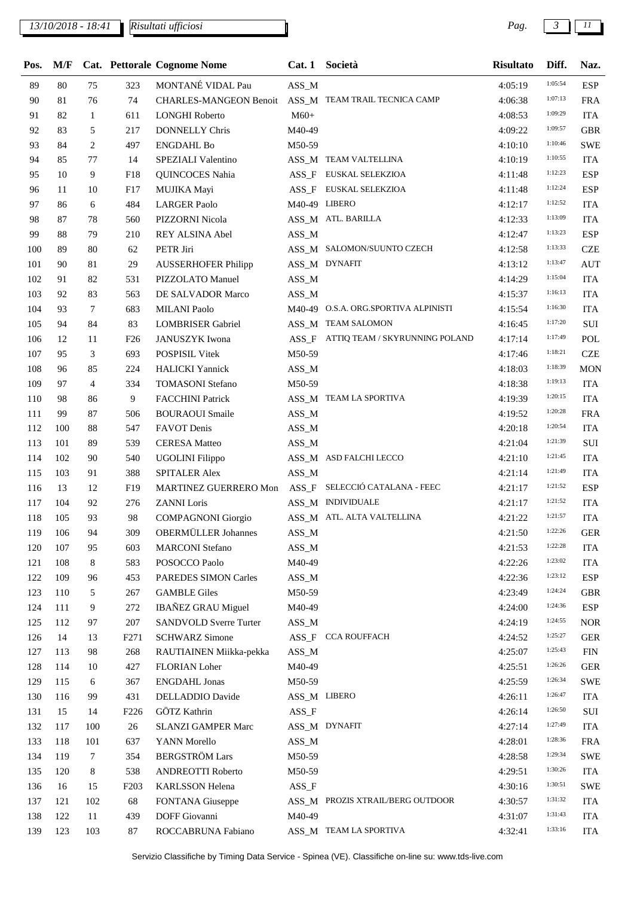## *13/10/2018 - 18:41 Pag. 3 11*

*Risultati ufficiosi*

| Pos. | M/F     |                |                  | <b>Cat. Pettorale Cognome Nome</b> |                   | Cat. 1 Società                       | <b>Risultato</b> | Diff.   | Naz.       |
|------|---------|----------------|------------------|------------------------------------|-------------------|--------------------------------------|------------------|---------|------------|
| 89   | 80      | 75             | 323              | MONTANÉ VIDAL Pau                  | ASS_M             |                                      | 4:05:19          | 1:05:54 | <b>ESP</b> |
| 90   | 81      | 76             | 74               | CHARLES-MANGEON Benoit             |                   | ASS_M TEAM TRAIL TECNICA CAMP        | 4:06:38          | 1:07:13 | <b>FRA</b> |
| 91   | 82      | $\mathbf{1}$   | 611              | <b>LONGHI Roberto</b>              | $M60+$            |                                      | 4:08:53          | 1:09:29 | <b>ITA</b> |
| 92   | 83      | 5              | 217              | <b>DONNELLY Chris</b>              | M40-49            |                                      | 4:09:22          | 1:09:57 | <b>GBR</b> |
| 93   | 84      | 2              | 497              | <b>ENGDAHL Bo</b>                  | M50-59            |                                      | 4:10:10          | 1:10:46 | <b>SWE</b> |
| 94   | 85      | 77             | 14               | SPEZIALI Valentino                 |                   | ASS_M TEAM VALTELLINA                | 4:10:19          | 1:10:55 | <b>ITA</b> |
| 95   | 10      | 9              | F18              | QUINCOCES Nahia                    |                   | ASS_F EUSKAL SELEKZIOA               | 4:11:48          | 1:12:23 | <b>ESP</b> |
| 96   | 11      | 10             | F17              | MUJIKA Mayi                        | $ASS_F$           | EUSKAL SELEKZIOA                     | 4:11:48          | 1:12:24 | <b>ESP</b> |
| 97   | 86      | 6              | 484              | <b>LARGER Paolo</b>                |                   | M40-49 LIBERO                        | 4:12:17          | 1:12:52 | <b>ITA</b> |
| 98   | 87      | 78             | 560              | PIZZORNI Nicola                    |                   | ASS_M ATL. BARILLA                   | 4:12:33          | 1:13:09 | <b>ITA</b> |
| 99   | 88      | 79             | 210              | REY ALSINA Abel                    | $ASS\_M$          |                                      | 4:12:47          | 1:13:23 | <b>ESP</b> |
| 100  | 89      | 80             | 62               | PETR Jiri                          |                   | ASS_M SALOMON/SUUNTO CZECH           | 4:12:58          | 1:13:33 | <b>CZE</b> |
| 101  | 90      | 81             | 29               | <b>AUSSERHOFER Philipp</b>         |                   | ASS_M DYNAFIT                        | 4:13:12          | 1:13:47 | <b>AUT</b> |
| 102  | 91      | 82             | 531              | PIZZOLATO Manuel                   | $ASS\_M$          |                                      | 4:14:29          | 1:15:04 | <b>ITA</b> |
| 103  | 92      | 83             | 563              | DE SALVADOR Marco                  | $ASS\_M$          |                                      | 4:15:37          | 1:16:13 | <b>ITA</b> |
| 104  | 93      | $\tau$         | 683              | <b>MILANI Paolo</b>                |                   | M40-49 O.S.A. ORG.SPORTIVA ALPINISTI | 4:15:54          | 1:16:30 | <b>ITA</b> |
| 105  | 94      | 84             | 83               | <b>LOMBRISER Gabriel</b>           |                   | ASS_M TEAM SALOMON                   | 4:16:45          | 1:17:20 | SUI        |
| 106  | 12      | 11             | F <sub>26</sub>  | <b>JANUSZYK</b> Iwona              |                   | ASS_F ATTIQ TEAM / SKYRUNNING POLAND | 4:17:14          | 1:17:49 | POL        |
| 107  | 95      | 3              | 693              | POSPISIL Vitek                     | M50-59            |                                      | 4:17:46          | 1:18:21 | <b>CZE</b> |
| 108  | 96      | 85             | 224              | <b>HALICKI</b> Yannick             | $ASS\_M$          |                                      | 4:18:03          | 1:18:39 | <b>MON</b> |
| 109  | 97      | $\overline{4}$ | 334              | <b>TOMASONI</b> Stefano            | M50-59            |                                      | 4:18:38          | 1:19:13 | <b>ITA</b> |
| 110  | 98      | 86             | 9                | <b>FACCHINI Patrick</b>            |                   | ASS_M TEAM LA SPORTIVA               | 4:19:39          | 1:20:15 | <b>ITA</b> |
| 111  | 99      | 87             | 506              | <b>BOURAOUI</b> Smaile             | $ASS\_M$          |                                      | 4:19:52          | 1:20:28 | <b>FRA</b> |
| 112  | 100     | 88             | 547              | <b>FAVOT</b> Denis                 | $ASS\_M$          |                                      | 4:20:18          | 1:20:54 | <b>ITA</b> |
| 113  | 101     | 89             | 539              | <b>CERESA</b> Matteo               | $ASS\_M$          |                                      | 4:21:04          | 1:21:39 | $\rm SUI$  |
| 114  | 102     | 90             | 540              | <b>UGOLINI</b> Filippo             |                   | ASS_M ASD FALCHI LECCO               | 4:21:10          | 1:21:45 | <b>ITA</b> |
| 115  | 103     | 91             | 388              | <b>SPITALER Alex</b>               | $ASS\_M$          |                                      | 4:21:14          | 1:21:49 | <b>ITA</b> |
| 116  | 13      | 12             | F19              | MARTINEZ GUERRERO Mon              |                   | ASS_F SELECCIÓ CATALANA - FEEC       | 4:21:17          | 1:21:52 | <b>ESP</b> |
| 117  | 104     | 92             | 276              | <b>ZANNI</b> Loris                 |                   | ASS_M INDIVIDUALE                    | 4:21:17          | 1:21:52 | <b>ITA</b> |
| 118  | 105     | 93             | 98               | <b>COMPAGNONI</b> Giorgio          |                   | ASS_M ATL. ALTA VALTELLINA           | 4:21:22          | 1:21:57 | <b>ITA</b> |
|      | 119 106 | 94             | 309              | <b>OBERMÜLLER Johannes</b>         | $ASS\_M$          |                                      | 4:21:50          | 1:22:26 | <b>GER</b> |
| 120  | 107     | 95             | 603              | <b>MARCONI</b> Stefano             | $ASS\_M$          |                                      | 4:21:53          | 1:22:28 | <b>ITA</b> |
| 121  | 108     | 8              | 583              | POSOCCO Paolo                      | M40-49            |                                      | 4:22:26          | 1:23:02 | <b>ITA</b> |
| 122  | 109     | 96             | 453              | PAREDES SIMON Carles               | ASS_M             |                                      | 4:22:36          | 1:23:12 | <b>ESP</b> |
| 123  | 110     | 5              | 267              | <b>GAMBLE Giles</b>                | M50-59            |                                      | 4:23:49          | 1:24:24 | <b>GBR</b> |
| 124  | 111     | 9              | 272              | <b>IBAÑEZ GRAU Miguel</b>          | M40-49            |                                      | 4:24:00          | 1:24:36 | <b>ESP</b> |
| 125  | 112     | 97             | 207              | <b>SANDVOLD Sverre Turter</b>      | $ASS\_M$          |                                      | 4:24:19          | 1:24:55 | <b>NOR</b> |
| 126  | 14      | 13             | F <sub>271</sub> | <b>SCHWARZ Simone</b>              |                   | ASS_F CCA ROUFFACH                   | 4:24:52          | 1:25:27 | <b>GER</b> |
| 127  | 113     | 98             | 268              | RAUTIAINEN Miikka-pekka            | $ASS\_M$          |                                      | 4:25:07          | 1:25:43 | <b>FIN</b> |
| 128  | 114     | 10             | 427              | FLORIAN Loher                      | M40-49            |                                      | 4:25:51          | 1:26:26 | <b>GER</b> |
| 129  | 115     | 6              | 367              | <b>ENGDAHL Jonas</b>               | M50-59            |                                      | 4:25:59          | 1:26:34 | <b>SWE</b> |
| 130  | 116     | 99             | 431              | DELLADDIO Davide                   |                   | ASS_M LIBERO                         | 4:26:11          | 1:26:47 | <b>ITA</b> |
| 131  | 15      | 14             | F <sub>226</sub> | GÖTZ Kathrin                       | $\texttt{ASS\_F}$ |                                      | 4:26:14          | 1:26:50 | $\rm SUI$  |
| 132  | 117     | 100            | $26\,$           | <b>SLANZI GAMPER Marc</b>          |                   | ASS_M DYNAFIT                        | 4:27:14          | 1:27:49 | <b>ITA</b> |
| 133  | 118     | 101            | 637              | YANN Morello                       | $ASS\_M$          |                                      | 4:28:01          | 1:28:36 | <b>FRA</b> |
| 134  | 119     | 7              | 354              | <b>BERGSTRÖM Lars</b>              | M50-59            |                                      | 4:28:58          | 1:29:34 | <b>SWE</b> |
| 135  | 120     | 8              | 538              | <b>ANDREOTTI Roberto</b>           | M50-59            |                                      | 4:29:51          | 1:30:26 | <b>ITA</b> |
| 136  | 16      | 15             | F <sub>203</sub> | <b>KARLSSON</b> Helena             | ASS_F             |                                      | 4:30:16          | 1:30:51 | <b>SWE</b> |
| 137  | 121     | 102            | 68               | FONTANA Giuseppe                   |                   | ASS_M PROZIS XTRAIL/BERG OUTDOOR     | 4:30:57          | 1:31:32 | <b>ITA</b> |
| 138  | 122     | 11             | 439              | DOFF Giovanni                      | M40-49            |                                      | 4:31:07          | 1:31:43 | <b>ITA</b> |
| 139  | 123     | 103            | 87               | ROCCABRUNA Fabiano                 |                   | ASS_M TEAM LA SPORTIVA               | 4:32:41          | 1:33:16 | <b>ITA</b> |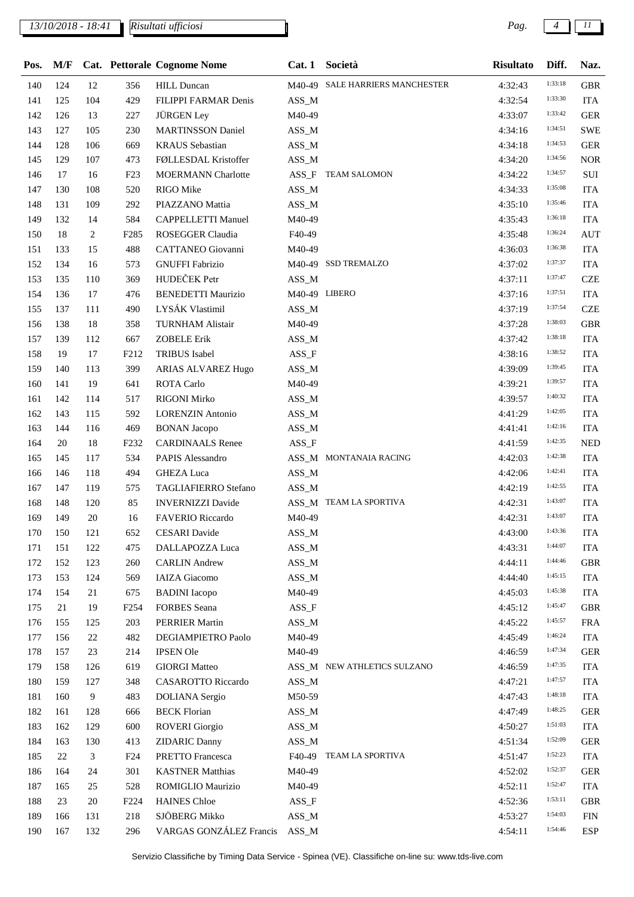## *13/10/2018 - 18:41 Pag. 4 11*

*Risultati ufficiosi*

| Pos. | M/F    |     |                               | Cat. Pettorale Cognome Nome              | Cat.1         | Società                         | <b>Risultato</b>   | Diff.   | Naz.                     |
|------|--------|-----|-------------------------------|------------------------------------------|---------------|---------------------------------|--------------------|---------|--------------------------|
| 140  | 124    | 12  | 356                           | <b>HILL Duncan</b>                       |               | M40-49 SALE HARRIERS MANCHESTER | 4:32:43            | 1:33:18 | <b>GBR</b>               |
| 141  | 125    | 104 | 429                           | FILIPPI FARMAR Denis                     | $ASS\_M$      |                                 | 4:32:54            | 1:33:30 | <b>ITA</b>               |
| 142  | 126    | 13  | 227                           | <b>JÜRGEN Ley</b>                        | M40-49        |                                 | 4:33:07            | 1:33:42 | <b>GER</b>               |
| 143  | 127    | 105 | 230                           | <b>MARTINSSON Daniel</b>                 | ASS_M         |                                 | 4:34:16            | 1:34:51 | <b>SWE</b>               |
| 144  | 128    | 106 | 669                           | <b>KRAUS</b> Sebastian                   | $ASS\_M$      |                                 | 4:34:18            | 1:34:53 | <b>GER</b>               |
| 145  | 129    | 107 | 473                           | FØLLESDAL Kristoffer                     | ASS_M         |                                 | 4:34:20            | 1:34:56 | <b>NOR</b>               |
| 146  | 17     | 16  | F23                           | <b>MOERMANN Charlotte</b>                | $ASS_F$       | <b>TEAM SALOMON</b>             | 4:34:22            | 1:34:57 | SUI                      |
| 147  | 130    | 108 | 520                           | RIGO Mike                                | ASS_M         |                                 | 4:34:33            | 1:35:08 | <b>ITA</b>               |
| 148  | 131    | 109 | 292                           | PIAZZANO Mattia                          | $ASS\_M$      |                                 | 4:35:10            | 1:35:46 | <b>ITA</b>               |
| 149  | 132    | 14  | 584                           | <b>CAPPELLETTI Manuel</b>                | M40-49        |                                 | 4:35:43            | 1:36:18 | <b>ITA</b>               |
| 150  | 18     | 2   | F <sub>2</sub> 85             | <b>ROSEGGER Claudia</b>                  | F40-49        |                                 | 4:35:48            | 1:36:24 | <b>AUT</b>               |
| 151  | 133    | 15  | 488                           | CATTANEO Giovanni                        | M40-49        |                                 | 4:36:03            | 1:36:38 | <b>ITA</b>               |
| 152  | 134    | 16  | 573                           | <b>GNUFFI Fabrizio</b>                   |               | M40-49 SSD TREMALZO             | 4:37:02            | 1:37:37 | <b>ITA</b>               |
| 153  | 135    | 110 | 369                           | HUDEČEK Petr                             | $ASS\_M$      |                                 | 4:37:11            | 1:37:47 | <b>CZE</b>               |
| 154  | 136    | 17  | 476                           | <b>BENEDETTI Maurizio</b>                | M40-49 LIBERO |                                 | 4:37:16            | 1:37:51 | <b>ITA</b>               |
| 155  | 137    | 111 | 490                           | LYSÁK Vlastimil                          | ASS_M         |                                 | 4:37:19            | 1:37:54 | <b>CZE</b>               |
| 156  | 138    | 18  | 358                           | <b>TURNHAM Alistair</b>                  | M40-49        |                                 | 4:37:28            | 1:38:03 | <b>GBR</b>               |
| 157  | 139    | 112 | 667                           | <b>ZOBELE Erik</b>                       | $ASS\_M$      |                                 | 4:37:42            | 1:38:18 | <b>ITA</b>               |
| 158  | 19     | 17  | F212                          | <b>TRIBUS</b> Isabel                     | $ASS_F$       |                                 | 4:38:16            | 1:38:52 | <b>ITA</b>               |
| 159  | 140    | 113 | 399                           | <b>ARIAS ALVAREZ Hugo</b>                | $ASS\_M$      |                                 | 4:39:09            | 1:39:45 | <b>ITA</b>               |
| 160  | 141    | 19  | 641                           | <b>ROTA</b> Carlo                        | M40-49        |                                 | 4:39:21            | 1:39:57 | <b>ITA</b>               |
| 161  | 142    | 114 | 517                           | <b>RIGONI Mirko</b>                      | ASS_M         |                                 | 4:39:57            | 1:40:32 | <b>ITA</b>               |
| 162  | 143    | 115 | 592                           | <b>LORENZIN</b> Antonio                  | $ASS\_M$      |                                 | 4:41:29            | 1:42:05 | <b>ITA</b>               |
| 163  | 144    | 116 | 469                           | <b>BONAN Jacopo</b>                      | $ASS\_M$      |                                 | 4:41:41            | 1:42:16 | <b>ITA</b>               |
| 164  | 20     | 18  | F <sub>2</sub> 3 <sub>2</sub> | <b>CARDINAALS</b> Renee                  | $ASS_F$       |                                 | 4:41:59            | 1:42:35 | <b>NED</b>               |
| 165  | 145    | 117 |                               |                                          |               | ASS_M MONTANAIA RACING          |                    | 1:42:38 |                          |
| 166  | 146    | 118 | 534<br>494                    | PAPIS Alessandro<br><b>GHEZA Luca</b>    | $ASS\_M$      |                                 | 4:42:03<br>4:42:06 | 1:42:41 | <b>ITA</b><br><b>ITA</b> |
| 167  | 147    | 119 | 575                           | <b>TAGLIAFIERRO Stefano</b>              | ASS_M         |                                 | 4:42:19            | 1:42:55 | <b>ITA</b>               |
| 168  | 148    | 120 | 85                            | <b>INVERNIZZI Davide</b>                 |               | ASS_M TEAM LA SPORTIVA          |                    | 1:43:07 |                          |
|      |        |     |                               |                                          |               |                                 | 4:42:31            | 1:43:07 | <b>ITA</b>               |
| 169  | 149    | 20  | 16                            | FAVERIO Riccardo<br><b>CESARI</b> Davide | M40-49        |                                 | 4:42:31            | 1:43:36 | <b>ITA</b>               |
| 170  | 150    | 121 | 652                           |                                          | $ASS\_M$      |                                 | 4:43:00            | 1:44:07 | <b>ITA</b>               |
| 171  | 151    | 122 | 475                           | DALLAPOZZA Luca                          | $ASS\_M$      |                                 | 4:43:31            | 1:44:46 | <b>ITA</b>               |
| 172  | 152    | 123 | 260                           | <b>CARLIN</b> Andrew                     | $ASS\_M$      |                                 | 4:44:11            | 1:45:15 | <b>GBR</b>               |
| 173  | 153    | 124 | 569                           | <b>IAIZA</b> Giacomo                     | $ASS\_M$      |                                 | 4:44:40            | 1:45:38 | <b>ITA</b>               |
| 174  | 154    | 21  | 675                           | <b>BADINI</b> Iacopo                     | M40-49        |                                 | 4:45:03            | 1:45:47 | <b>ITA</b>               |
| 175  | 21     | 19  | F <sub>254</sub>              | <b>FORBES</b> Seana                      | ASS_F         |                                 | 4:45:12            | 1:45:57 | <b>GBR</b>               |
| 176  | 155    | 125 | 203                           | <b>PERRIER Martin</b>                    | $ASS\_M$      |                                 | 4:45:22            | 1:46:24 | <b>FRA</b>               |
| 177  | 156    | 22  | 482                           | DEGIAMPIETRO Paolo                       | M40-49        |                                 | 4:45:49            | 1:47:34 | <b>ITA</b>               |
| 178  | 157    | 23  | 214                           | <b>IPSEN Ole</b>                         | M40-49        |                                 | 4:46:59            |         | <b>GER</b>               |
| 179  | 158    | 126 | 619                           | <b>GIORGI Matteo</b>                     |               | ASS_M NEW ATHLETICS SULZANO     | 4:46:59            | 1:47:35 | <b>ITA</b>               |
| 180  | 159    | 127 | 348                           | <b>CASAROTTO Riccardo</b>                | $ASS\_M$      |                                 | 4:47:21            | 1:47:57 | <b>ITA</b>               |
| 181  | 160    | 9   | 483                           | <b>DOLIANA</b> Sergio                    | M50-59        |                                 | 4:47:43            | 1:48:18 | <b>ITA</b>               |
| 182  | 161    | 128 | 666                           | <b>BECK Florian</b>                      | $ASS\_M$      |                                 | 4:47:49            | 1:48:25 | <b>GER</b>               |
| 183  | 162    | 129 | 600                           | <b>ROVERI</b> Giorgio                    | $ASS\_M$      |                                 | 4:50:27            | 1:51:03 | <b>ITA</b>               |
| 184  | 163    | 130 | 413                           | <b>ZIDARIC Danny</b>                     | $ASS\_M$      |                                 | 4:51:34            | 1:52:09 | <b>GER</b>               |
| 185  | $22\,$ | 3   | F <sub>24</sub>               | PRETTO Francesca                         | F40-49        | TEAM LA SPORTIVA                | 4:51:47            | 1:52:23 | <b>ITA</b>               |
| 186  | 164    | 24  | 301                           | <b>KASTNER Matthias</b>                  | M40-49        |                                 | 4:52:02            | 1:52:37 | <b>GER</b>               |
| 187  | 165    | 25  | 528                           | ROMIGLIO Maurizio                        | M40-49        |                                 | 4:52:11            | 1:52:47 | <b>ITA</b>               |
| 188  | 23     | 20  | F <sub>224</sub>              | <b>HAINES</b> Chloe                      | $ASS_F$       |                                 | 4:52:36            | 1:53:11 | <b>GBR</b>               |
| 189  | 166    | 131 | 218                           | SJÖBERG Mikko                            | $ASS\_M$      |                                 | 4:53:27            | 1:54:03 | ${\rm FIN}$              |
| 190  | 167    | 132 | 296                           | VARGAS GONZÁLEZ Francis                  | ASS_M         |                                 | 4:54:11            | 1:54:46 | <b>ESP</b>               |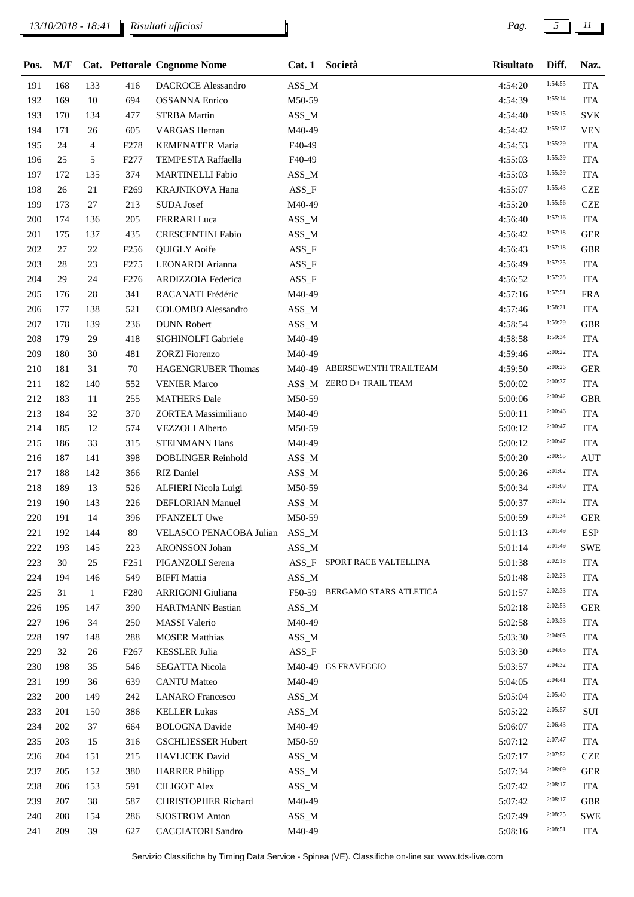## *13/10/2018 - 18:41 Pag. 5 11*

| Pos. |     |              |                  | M/F Cat. Pettorale Cognome Nome |          | Cat. 1 Società                | <b>Risultato</b> | Diff.   | Naz.       |
|------|-----|--------------|------------------|---------------------------------|----------|-------------------------------|------------------|---------|------------|
| 191  | 168 | 133          | 416              | <b>DACROCE</b> Alessandro       | ASS_M    |                               | 4:54:20          | 1:54:55 | <b>ITA</b> |
| 192  | 169 | 10           | 694              | <b>OSSANNA Enrico</b>           | M50-59   |                               | 4:54:39          | 1:55:14 | <b>ITA</b> |
| 193  | 170 | 134          | 477              | <b>STRBA Martin</b>             | $ASS\_M$ |                               | 4:54:40          | 1:55:15 | <b>SVK</b> |
| 194  | 171 | 26           | 605              | <b>VARGAS</b> Hernan            | M40-49   |                               | 4:54:42          | 1:55:17 | <b>VEN</b> |
| 195  | 24  | 4            | F <sub>278</sub> | <b>KEMENATER Maria</b>          | F40-49   |                               | 4:54:53          | 1:55:29 | <b>ITA</b> |
| 196  | 25  | 5            | F <sub>277</sub> | TEMPESTA Raffaella              | F40-49   |                               | 4:55:03          | 1:55:39 | <b>ITA</b> |
| 197  | 172 | 135          | 374              | <b>MARTINELLI Fabio</b>         | ASS_M    |                               | 4:55:03          | 1:55:39 | <b>ITA</b> |
| 198  | 26  | 21           | F <sub>269</sub> | KRAJNIKOVA Hana                 | $ASS_F$  |                               | 4:55:07          | 1:55:43 | <b>CZE</b> |
| 199  | 173 | 27           | 213              | <b>SUDA Josef</b>               | M40-49   |                               | 4:55:20          | 1:55:56 | <b>CZE</b> |
| 200  | 174 | 136          | 205              | FERRARI Luca                    | ASS_M    |                               | 4:56:40          | 1:57:16 | <b>ITA</b> |
| 201  | 175 | 137          | 435              | <b>CRESCENTINI Fabio</b>        | ASS_M    |                               | 4:56:42          | 1:57:18 | <b>GER</b> |
| 202  | 27  | 22           | F <sub>256</sub> | <b>QUIGLY Aoife</b>             | $ASS_F$  |                               | 4:56:43          | 1:57:18 | <b>GBR</b> |
| 203  | 28  | 23           | F <sub>275</sub> | LEONARDI Arianna                | $ASS_F$  |                               | 4:56:49          | 1:57:25 | <b>ITA</b> |
| 204  | 29  | 24           | F <sub>276</sub> | ARDIZZOIA Federica              | $ASS_F$  |                               | 4:56:52          | 1:57:28 | <b>ITA</b> |
| 205  | 176 | 28           | 341              | RACANATI Frédéric               | M40-49   |                               | 4:57:16          | 1:57:51 | <b>FRA</b> |
| 206  | 177 | 138          | 521              | <b>COLOMBO</b> Alessandro       | ASS_M    |                               | 4:57:46          | 1:58:21 | <b>ITA</b> |
| 207  | 178 | 139          | 236              | <b>DUNN Robert</b>              | ASS_M    |                               | 4:58:54          | 1:59:29 | <b>GBR</b> |
| 208  | 179 | 29           | 418              | SIGHINOLFI Gabriele             | M40-49   |                               | 4:58:58          | 1:59:34 | <b>ITA</b> |
| 209  | 180 | 30           | 481              | <b>ZORZI</b> Fiorenzo           | M40-49   |                               | 4:59:46          | 2:00:22 | <b>ITA</b> |
| 210  | 181 | 31           | 70               | <b>HAGENGRUBER Thomas</b>       |          | M40-49 ABERSEWENTH TRAILTEAM  | 4:59:50          | 2:00:26 | <b>GER</b> |
| 211  | 182 | 140          | 552              | <b>VENIER Marco</b>             |          | ASS_M ZERO D+ TRAIL TEAM      | 5:00:02          | 2:00:37 | <b>ITA</b> |
| 212  | 183 | 11           | 255              | <b>MATHERS</b> Dale             | M50-59   |                               | 5:00:06          | 2:00:42 | <b>GBR</b> |
| 213  | 184 | 32           | 370              | ZORTEA Massimiliano             | M40-49   |                               | 5:00:11          | 2:00:46 | <b>ITA</b> |
| 214  | 185 | 12           | 574              | VEZZOLI Alberto                 | M50-59   |                               | 5:00:12          | 2:00:47 | <b>ITA</b> |
| 215  | 186 | 33           | 315              | <b>STEINMANN Hans</b>           | M40-49   |                               | 5:00:12          | 2:00:47 | <b>ITA</b> |
| 216  | 187 | 141          | 398              | DOBLINGER Reinhold              | ASS_M    |                               | 5:00:20          | 2:00:55 | <b>AUT</b> |
| 217  | 188 | 142          | 366              | <b>RIZ</b> Daniel               | ASS_M    |                               | 5:00:26          | 2:01:02 | <b>ITA</b> |
| 218  | 189 | 13           | 526              | ALFIERI Nicola Luigi            | M50-59   |                               | 5:00:34          | 2:01:09 | <b>ITA</b> |
| 219  | 190 | 143          | 226              | <b>DEFLORIAN Manuel</b>         | ASS_M    |                               | 5:00:37          | 2:01:12 | <b>ITA</b> |
| 220  | 191 | 14           | 396              | PFANZELT Uwe                    | M50-59   |                               | 5:00:59          | 2:01:34 | <b>GER</b> |
| 221  | 192 | 144          | 89               | VELASCO PENACOBA Julian         | ASS_M    |                               | 5:01:13          | 2:01:49 | <b>ESP</b> |
| 222  | 193 | 145          | 223              | ARONSSON Johan                  | $ASS\_M$ |                               | 5:01:14          | 2:01:49 | <b>SWE</b> |
| 223  | 30  | 25           | F <sub>251</sub> | PIGANZOLI Serena                | $ASS_F$  | SPORT RACE VALTELLINA         | 5:01:38          | 2:02:13 | <b>ITA</b> |
| 224  | 194 | 146          | 549              | <b>BIFFI Mattia</b>             | $ASS\_M$ |                               | 5:01:48          | 2:02:23 | <b>ITA</b> |
| 225  | 31  | $\mathbf{1}$ | F <sub>280</sub> | <b>ARRIGONI</b> Giuliana        |          | F50-59 BERGAMO STARS ATLETICA | 5:01:57          | 2:02:33 | <b>ITA</b> |
| 226  | 195 | 147          | 390              | <b>HARTMANN Bastian</b>         | ASS_M    |                               | 5:02:18          | 2:02:53 | <b>GER</b> |
| 227  | 196 | 34           | 250              | <b>MASSI Valerio</b>            | M40-49   |                               | 5:02:58          | 2:03:33 | <b>ITA</b> |
| 228  | 197 | 148          | 288              | <b>MOSER Matthias</b>           | $ASS\_M$ |                               | 5:03:30          | 2:04:05 | <b>ITA</b> |
| 229  | 32  | 26           | F <sub>267</sub> | <b>KESSLER Julia</b>            | ASS_F    |                               | 5:03:30          | 2:04:05 | <b>ITA</b> |
| 230  | 198 | 35           | 546              | <b>SEGATTA Nicola</b>           |          | M40-49 GS FRAVEGGIO           | 5:03:57          | 2:04:32 | <b>ITA</b> |
| 231  | 199 | 36           | 639              | <b>CANTU Matteo</b>             | M40-49   |                               | 5:04:05          | 2:04:41 | <b>ITA</b> |
| 232  | 200 | 149          | 242              | <b>LANARO</b> Francesco         | $ASS\_M$ |                               | 5:05:04          | 2:05:40 | <b>ITA</b> |
| 233  | 201 | 150          | 386              | <b>KELLER Lukas</b>             | ASS_M    |                               | 5:05:22          | 2:05:57 | SUI        |
| 234  | 202 | 37           | 664              | <b>BOLOGNA Davide</b>           | M40-49   |                               | 5:06:07          | 2:06:43 | <b>ITA</b> |
| 235  | 203 | 15           | 316              | <b>GSCHLIESSER Hubert</b>       | M50-59   |                               | 5:07:12          | 2:07:47 | <b>ITA</b> |
| 236  | 204 | 151          | 215              | HAVLICEK David                  | $ASS\_M$ |                               | 5:07:17          | 2:07:52 | <b>CZE</b> |
| 237  | 205 | 152          | 380              | <b>HARRER Philipp</b>           | $ASS\_M$ |                               | 5:07:34          | 2:08:09 | <b>GER</b> |
| 238  | 206 | 153          | 591              | <b>CILIGOT Alex</b>             | $ASS\_M$ |                               | 5:07:42          | 2:08:17 | <b>ITA</b> |
| 239  | 207 | 38           | 587              | <b>CHRISTOPHER Richard</b>      | M40-49   |                               | 5:07:42          | 2:08:17 | <b>GBR</b> |
| 240  | 208 | 154          | 286              | <b>SJOSTROM Anton</b>           | $ASS\_M$ |                               | 5:07:49          | 2:08:25 | <b>SWE</b> |
| 241  | 209 | 39           | 627              | <b>CACCIATORI</b> Sandro        | M40-49   |                               | 5:08:16          | 2:08:51 | ITA        |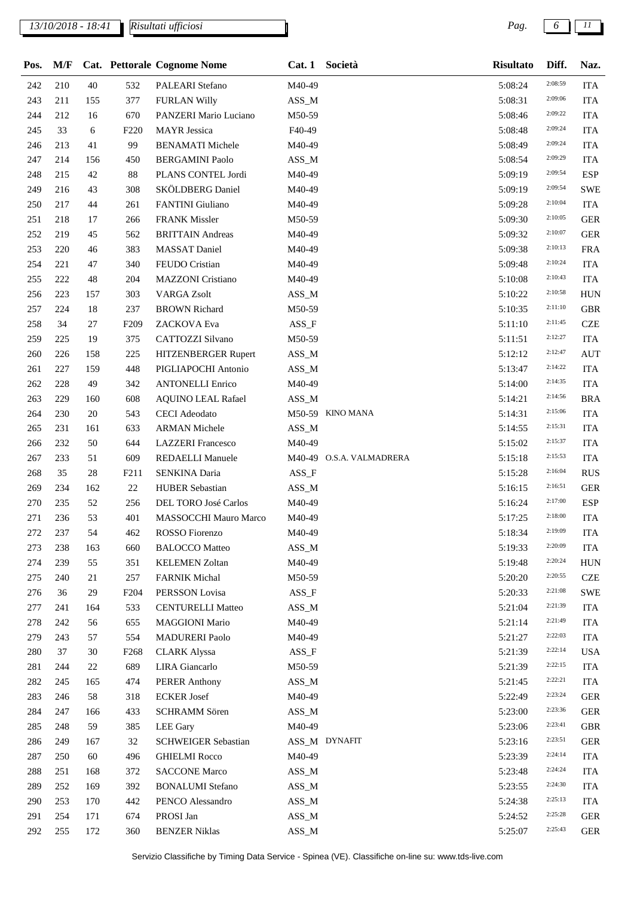## *13/10/2018 - 18:41 Pag. 6 11*

*Risultati ufficiosi*

| Pos. | M/F     |     |                  | <b>Cat.</b> Pettorale Cognome Nome | Cat.1    | Società                  | <b>Risultato</b> | Diff.   | Naz.       |
|------|---------|-----|------------------|------------------------------------|----------|--------------------------|------------------|---------|------------|
| 242  | 210     | 40  | 532              | PALEARI Stefano                    | M40-49   |                          | 5:08:24          | 2:08:59 | <b>ITA</b> |
| 243  | 211     | 155 | 377              | <b>FURLAN Willy</b>                | $ASS\_M$ |                          | 5:08:31          | 2:09:06 | <b>ITA</b> |
| 244  | 212     | 16  | 670              | PANZERI Mario Luciano              | M50-59   |                          | 5:08:46          | 2:09:22 | <b>ITA</b> |
| 245  | 33      | 6   | F <sub>220</sub> | <b>MAYR</b> Jessica                | F40-49   |                          | 5:08:48          | 2:09:24 | <b>ITA</b> |
| 246  | 213     | 41  | 99               | <b>BENAMATI Michele</b>            | M40-49   |                          | 5:08:49          | 2:09:24 | <b>ITA</b> |
| 247  | 214     | 156 | 450              | <b>BERGAMINI Paolo</b>             | $ASS\_M$ |                          | 5:08:54          | 2:09:29 | <b>ITA</b> |
| 248  | 215     | 42  | 88               | PLANS CONTEL Jordi                 | M40-49   |                          | 5:09:19          | 2:09:54 | <b>ESP</b> |
| 249  | 216     | 43  | 308              | SKÖLDBERG Daniel                   | M40-49   |                          | 5:09:19          | 2:09:54 | <b>SWE</b> |
| 250  | 217     | 44  | 261              | FANTINI Giuliano                   | M40-49   |                          | 5:09:28          | 2:10:04 | <b>ITA</b> |
| 251  | 218     | 17  | 266              | <b>FRANK Missler</b>               | M50-59   |                          | 5:09:30          | 2:10:05 | <b>GER</b> |
| 252  | 219     | 45  | 562              | <b>BRITTAIN</b> Andreas            | M40-49   |                          | 5:09:32          | 2:10:07 | <b>GER</b> |
| 253  | 220     | 46  | 383              | <b>MASSAT Daniel</b>               | M40-49   |                          | 5:09:38          | 2:10:13 | <b>FRA</b> |
| 254  | 221     | 47  | 340              | FEUDO Cristian                     | M40-49   |                          | 5:09:48          | 2:10:24 | <b>ITA</b> |
| 255  | 222     | 48  | 204              | <b>MAZZONI</b> Cristiano           | M40-49   |                          | 5:10:08          | 2:10:43 | <b>ITA</b> |
| 256  | 223     | 157 | 303              | <b>VARGA Zsolt</b>                 | $ASS\_M$ |                          | 5:10:22          | 2:10:58 | <b>HUN</b> |
| 257  | 224     | 18  | 237              | <b>BROWN Richard</b>               | M50-59   |                          | 5:10:35          | 2:11:10 | <b>GBR</b> |
| 258  | 34      | 27  | F <sub>209</sub> | ZACKOVA Eva                        | $ASS_F$  |                          | 5:11:10          | 2:11:45 | <b>CZE</b> |
| 259  | 225     | 19  | 375              | CATTOZZI Silvano                   | M50-59   |                          | 5:11:51          | 2:12:27 | <b>ITA</b> |
| 260  | 226     | 158 | 225              | HITZENBERGER Rupert                | ASS_M    |                          | 5:12:12          | 2:12:47 | <b>AUT</b> |
| 261  | 227     | 159 | 448              | PIGLIAPOCHI Antonio                | $ASS\_M$ |                          | 5:13:47          | 2:14:22 | <b>ITA</b> |
| 262  | 228     | 49  | 342              | <b>ANTONELLI Enrico</b>            | M40-49   |                          | 5:14:00          | 2:14:35 | <b>ITA</b> |
| 263  | 229     | 160 | 608              | <b>AQUINO LEAL Rafael</b>          | ASS_M    |                          | 5:14:21          | 2:14:56 | <b>BRA</b> |
| 264  | 230     | 20  | 543              | <b>CECI</b> Adeodato               |          | M50-59 KINO MANA         | 5:14:31          | 2:15:06 | <b>ITA</b> |
| 265  | 231     | 161 | 633              | <b>ARMAN Michele</b>               | $ASS\_M$ |                          | 5:14:55          | 2:15:31 | <b>ITA</b> |
| 266  | 232     | 50  | 644              | <b>LAZZERI</b> Francesco           | M40-49   |                          | 5:15:02          | 2:15:37 | <b>ITA</b> |
| 267  | 233     | 51  | 609              | REDAELLI Manuele                   |          | M40-49 O.S.A. VALMADRERA | 5:15:18          | 2:15:53 | <b>ITA</b> |
| 268  | 35      | 28  | F <sub>211</sub> | SENKINA Daria                      | $ASS_F$  |                          | 5:15:28          | 2:16:04 | <b>RUS</b> |
| 269  | 234     | 162 | 22               | <b>HUBER Sebastian</b>             | $ASS\_M$ |                          | 5:16:15          | 2:16:51 | <b>GER</b> |
| 270  | 235     | 52  | 256              | DEL TORO José Carlos               | M40-49   |                          | 5:16:24          | 2:17:00 | <b>ESP</b> |
| 271  | 236     | 53  | 401              | MASSOCCHI Mauro Marco              | M40-49   |                          | 5:17:25          | 2:18:00 | <b>ITA</b> |
| 272  | $237\,$ | 54  | 462              | ROSSO Fiorenzo                     | M40-49   |                          | 5:18:34          | 2:19:09 | <b>ITA</b> |
| 273  | 238     | 163 | 660              | <b>BALOCCO</b> Matteo              | $ASS\_M$ |                          | 5:19:33          | 2:20:09 | <b>ITA</b> |
| 274  | 239     | 55  | 351              | <b>KELEMEN Zoltan</b>              | M40-49   |                          | 5:19:48          | 2:20:24 | <b>HUN</b> |
| 275  | 240     | 21  | 257              | <b>FARNIK Michal</b>               | M50-59   |                          | 5:20:20          | 2:20:55 | <b>CZE</b> |
| 276  | 36      | 29  | F <sub>204</sub> | PERSSON Lovisa                     | $ASS_F$  |                          | 5:20:33          | 2:21:08 | <b>SWE</b> |
| 277  | 241     | 164 | 533              | <b>CENTURELLI Matteo</b>           | $ASS\_M$ |                          | 5:21:04          | 2:21:39 | <b>ITA</b> |
| 278  | 242     | 56  | 655              | <b>MAGGIONI Mario</b>              | M40-49   |                          | 5:21:14          | 2:21:49 | <b>ITA</b> |
| 279  | 243     | 57  | 554              | <b>MADURERI Paolo</b>              | M40-49   |                          | 5:21:27          | 2:22:03 | <b>ITA</b> |
| 280  | 37      | 30  | F <sub>268</sub> | <b>CLARK Alyssa</b>                | $ASS_F$  |                          | 5:21:39          | 2:22:14 | <b>USA</b> |
| 281  | 244     | 22  | 689              | LIRA Giancarlo                     | M50-59   |                          | 5:21:39          | 2:22:15 | <b>ITA</b> |
| 282  | 245     | 165 | 474              | <b>PERER Anthony</b>               | $ASS\_M$ |                          | 5:21:45          | 2:22:21 | <b>ITA</b> |
| 283  | 246     | 58  | 318              | <b>ECKER Josef</b>                 | M40-49   |                          | 5:22:49          | 2:23:24 | <b>GER</b> |
| 284  | 247     | 166 | 433              | SCHRAMM Sören                      | $ASS\_M$ |                          | 5:23:00          | 2:23:36 | <b>GER</b> |
| 285  | 248     | 59  | 385              | <b>LEE</b> Gary                    | M40-49   |                          | 5:23:06          | 2:23:41 | <b>GBR</b> |
| 286  | 249     | 167 | 32               | <b>SCHWEIGER Sebastian</b>         |          | ASS_M DYNAFIT            | 5:23:16          | 2:23:51 | <b>GER</b> |
| 287  | 250     | 60  | 496              | <b>GHIELMI Rocco</b>               | M40-49   |                          | 5:23:39          | 2:24:14 | <b>ITA</b> |
| 288  | 251     | 168 | 372              | <b>SACCONE Marco</b>               | $ASS\_M$ |                          | 5:23:48          | 2:24:24 | ITA        |
| 289  | 252     | 169 | 392              | <b>BONALUMI</b> Stefano            | $ASS\_M$ |                          | 5:23:55          | 2:24:30 | <b>ITA</b> |
| 290  | 253     | 170 | 442              | PENCO Alessandro                   | $ASS\_M$ |                          | 5:24:38          | 2:25:13 | <b>ITA</b> |
| 291  | 254     | 171 | 674              | PROSI Jan                          | $ASS\_M$ |                          | 5:24:52          | 2:25:28 | <b>GER</b> |
| 292  | 255     | 172 | 360              | <b>BENZER Niklas</b>               | $ASS\_M$ |                          | 5:25:07          | 2:25:43 | <b>GER</b> |
|      |         |     |                  |                                    |          |                          |                  |         |            |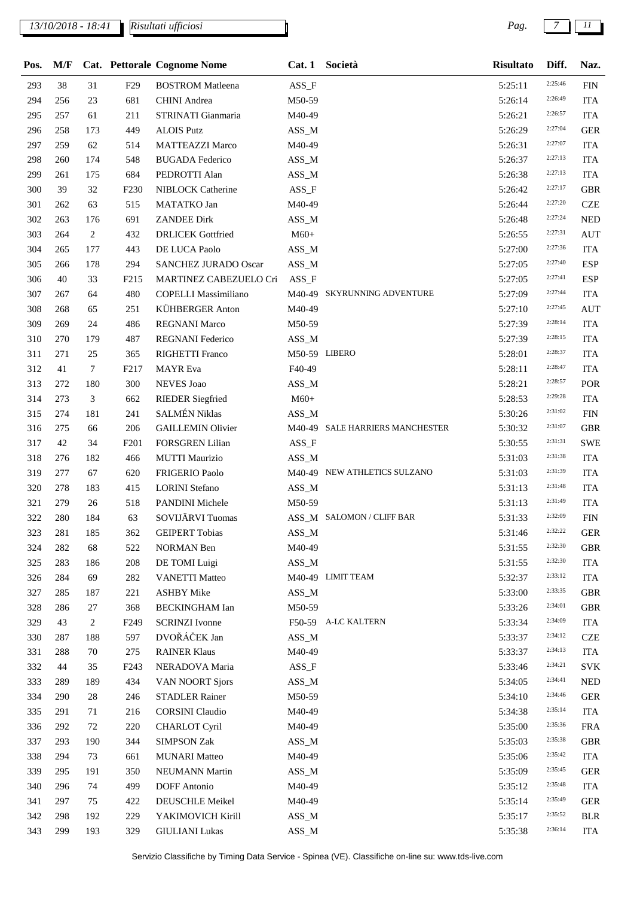## *13/10/2018 - 18:41 Pag. 7 11*

| Pos. | M/F     |        |                  | Cat. Pettorale Cognome Nome |                         | Cat. 1 Società                  | <b>Risultato</b> | Diff.   | Naz.       |
|------|---------|--------|------------------|-----------------------------|-------------------------|---------------------------------|------------------|---------|------------|
| 293  | 38      | 31     | F <sub>29</sub>  | <b>BOSTROM</b> Matleena     | $ASS_F$                 |                                 | 5:25:11          | 2:25:46 | <b>FIN</b> |
| 294  | 256     | 23     | 681              | <b>CHINI</b> Andrea         | M50-59                  |                                 | 5:26:14          | 2:26:49 | <b>ITA</b> |
| 295  | 257     | 61     | 211              | STRINATI Gianmaria          | M40-49                  |                                 | 5:26:21          | 2:26:57 | <b>ITA</b> |
| 296  | 258     | 173    | 449              | <b>ALOIS Putz</b>           | ASS_M                   |                                 | 5:26:29          | 2:27:04 | <b>GER</b> |
| 297  | 259     | 62     | 514              | <b>MATTEAZZI Marco</b>      | M40-49                  |                                 | 5:26:31          | 2:27:07 | <b>ITA</b> |
| 298  | 260     | 174    | 548              | <b>BUGADA</b> Federico      | ASS_M                   |                                 | 5:26:37          | 2:27:13 | <b>ITA</b> |
| 299  | 261     | 175    | 684              | PEDROTTI Alan               | $ASS\_M$                |                                 | 5:26:38          | 2:27:13 | <b>ITA</b> |
| 300  | 39      | 32     | F <sub>230</sub> | NIBLOCK Catherine           | ASS_F                   |                                 | 5:26:42          | 2:27:17 | <b>GBR</b> |
| 301  | 262     | 63     | 515              | MATATKO Jan                 | M40-49                  |                                 | 5:26:44          | 2:27:20 | <b>CZE</b> |
| 302  | 263     | 176    | 691              | <b>ZANDEE Dirk</b>          | $ASS\_M$                |                                 | 5:26:48          | 2:27:24 | <b>NED</b> |
| 303  | 264     | 2      | 432              | <b>DRLICEK</b> Gottfried    | $M60+$                  |                                 | 5:26:55          | 2:27:31 | <b>AUT</b> |
| 304  | 265     | 177    | 443              | DE LUCA Paolo               | $ASS\_M$                |                                 | 5:27:00          | 2:27:36 | <b>ITA</b> |
| 305  | 266     | 178    | 294              | <b>SANCHEZ JURADO Oscar</b> | $ASS\_M$                |                                 | 5:27:05          | 2:27:40 | <b>ESP</b> |
| 306  | 40      | 33     | F <sub>215</sub> | MARTINEZ CABEZUELO Cri      | ASS_F                   |                                 | 5:27:05          | 2:27:41 | <b>ESP</b> |
| 307  | 267     | 64     | 480              | <b>COPELLI Massimiliano</b> |                         | M40-49 SKYRUNNING ADVENTURE     | 5:27:09          | 2:27:44 | <b>ITA</b> |
| 308  | 268     | 65     | 251              | <b>KÜHBERGER Anton</b>      | M40-49                  |                                 | 5:27:10          | 2:27:45 | <b>AUT</b> |
| 309  | 269     | 24     | 486              | <b>REGNANI Marco</b>        | M50-59                  |                                 | 5:27:39          | 2:28:14 | <b>ITA</b> |
| 310  | 270     | 179    | 487              | REGNANI Federico            | ASS_M                   |                                 | 5:27:39          | 2:28:15 | <b>ITA</b> |
| 311  | 271     | 25     | 365              | RIGHETTI Franco             |                         | M50-59 LIBERO                   | 5:28:01          | 2:28:37 | <b>ITA</b> |
| 312  | 41      | $\tau$ | F <sub>217</sub> | <b>MAYR</b> Eva             | F40-49                  |                                 | 5:28:11          | 2:28:47 | <b>ITA</b> |
| 313  | 272     | 180    | 300              | <b>NEVES</b> Joao           | $ASS\_M$                |                                 | 5:28:21          | 2:28:57 | <b>POR</b> |
| 314  | 273     | 3      | 662              | <b>RIEDER Siegfried</b>     | $M60+$                  |                                 | 5:28:53          | 2:29:28 | <b>ITA</b> |
| 315  | 274     | 181    | 241              | <b>SALMÉN Niklas</b>        | ASS_M                   |                                 | 5:30:26          | 2:31:02 | <b>FIN</b> |
| 316  | 275     | 66     | 206              | <b>GAILLEMIN Olivier</b>    |                         | M40-49 SALE HARRIERS MANCHESTER | 5:30:32          | 2:31:07 | <b>GBR</b> |
| 317  | 42      | 34     | F <sub>201</sub> | <b>FORSGREN Lilian</b>      | ASS_F                   |                                 | 5:30:55          | 2:31:31 | <b>SWE</b> |
| 318  | 276     | 182    | 466              | <b>MUTTI Maurizio</b>       | ASS_M                   |                                 | 5:31:03          | 2:31:38 | <b>ITA</b> |
| 319  | 277     | 67     | 620              | FRIGERIO Paolo              |                         | M40-49 NEW ATHLETICS SULZANO    | 5:31:03          | 2:31:39 | <b>ITA</b> |
| 320  | 278     | 183    | 415              | <b>LORINI</b> Stefano       | ASS_M                   |                                 | 5:31:13          | 2:31:48 | <b>ITA</b> |
| 321  | 279     | 26     | 518              | PANDINI Michele             | M50-59                  |                                 | 5:31:13          | 2:31:49 | <b>ITA</b> |
| 322  | 280     | 184    | 63               | SOVIJÄRVI Tuomas            |                         | ASS_M SALOMON / CLIFF BAR       | 5:31:33          | 2:32:09 | <b>FIN</b> |
| 323  | $281\,$ | 185    | 362              | <b>GEIPERT Tobias</b>       | $\operatorname{ASS\_M}$ |                                 | 5:31:46          | 2:32:22 | <b>GER</b> |
| 324  | 282     | 68     | 522              | <b>NORMAN</b> Ben           | M40-49                  |                                 | 5:31:55          | 2:32:30 | <b>GBR</b> |
| 325  | 283     | 186    | 208              | DE TOMI Luigi               | $ASS\_M$                |                                 | 5:31:55          | 2:32:30 | <b>ITA</b> |
| 326  | 284     | 69     | 282              | <b>VANETTI Matteo</b>       |                         | M40-49 LIMIT TEAM               | 5:32:37          | 2:33:12 | <b>ITA</b> |
| 327  | 285     | 187    | 221              | <b>ASHBY Mike</b>           | $ASS\_M$                |                                 | 5:33:00          | 2:33:35 | <b>GBR</b> |
| 328  | 286     | 27     | 368              | <b>BECKINGHAM Ian</b>       | M50-59                  |                                 | 5:33:26          | 2:34:01 | <b>GBR</b> |
| 329  | 43      | 2      | F <sub>249</sub> | <b>SCRINZI</b> Ivonne       |                         | F50-59 A-LC KALTERN             | 5:33:34          | 2:34:09 | ITA        |
| 330  | 287     | 188    | 597              | DVOŘÁČEK Jan                | $ASS\_M$                |                                 | 5:33:37          | 2:34:12 | <b>CZE</b> |
| 331  | 288     | 70     | 275              | <b>RAINER Klaus</b>         | M40-49                  |                                 | 5:33:37          | 2:34:13 | <b>ITA</b> |
| 332  | 44      | 35     | F <sub>243</sub> | NERADOVA Maria              | $ASS_F$                 |                                 | 5:33:46          | 2:34:21 | <b>SVK</b> |
| 333  | 289     | 189    | 434              | VAN NOORT Sjors             | $ASS\_M$                |                                 | 5:34:05          | 2:34:41 | <b>NED</b> |
| 334  | 290     | 28     | 246              | STADLER Rainer              | M50-59                  |                                 | 5:34:10          | 2:34:46 | <b>GER</b> |
| 335  | 291     | 71     | 216              | <b>CORSINI Claudio</b>      | M40-49                  |                                 | 5:34:38          | 2:35:14 | ITA        |
| 336  | 292     | 72     | 220              | <b>CHARLOT Cyril</b>        | M40-49                  |                                 | 5:35:00          | 2:35:36 | <b>FRA</b> |
| 337  | 293     | 190    | 344              | <b>SIMPSON Zak</b>          | ASS_M                   |                                 | 5:35:03          | 2:35:38 | <b>GBR</b> |
| 338  | 294     | 73     | 661              | <b>MUNARI Matteo</b>        | M40-49                  |                                 | 5:35:06          | 2:35:42 | ITA        |
| 339  | 295     | 191    | 350              | NEUMANN Martin              | $ASS\_M$                |                                 | 5:35:09          | 2:35:45 | <b>GER</b> |
| 340  | 296     | 74     | 499              | <b>DOFF</b> Antonio         | M40-49                  |                                 | 5:35:12          | 2:35:48 | <b>ITA</b> |
| 341  | 297     | 75     | 422              | DEUSCHLE Meikel             | M40-49                  |                                 | 5:35:14          | 2:35:49 | <b>GER</b> |
| 342  | 298     | 192    | 229              | YAKIMOVICH Kirill           | $ASS\_M$                |                                 | 5:35:17          | 2:35:52 | <b>BLR</b> |
| 343  | 299     | 193    | 329              | <b>GIULIANI Lukas</b>       | $ASS\_M$                |                                 | 5:35:38          | 2:36:14 | <b>ITA</b> |
|      |         |        |                  |                             |                         |                                 |                  |         |            |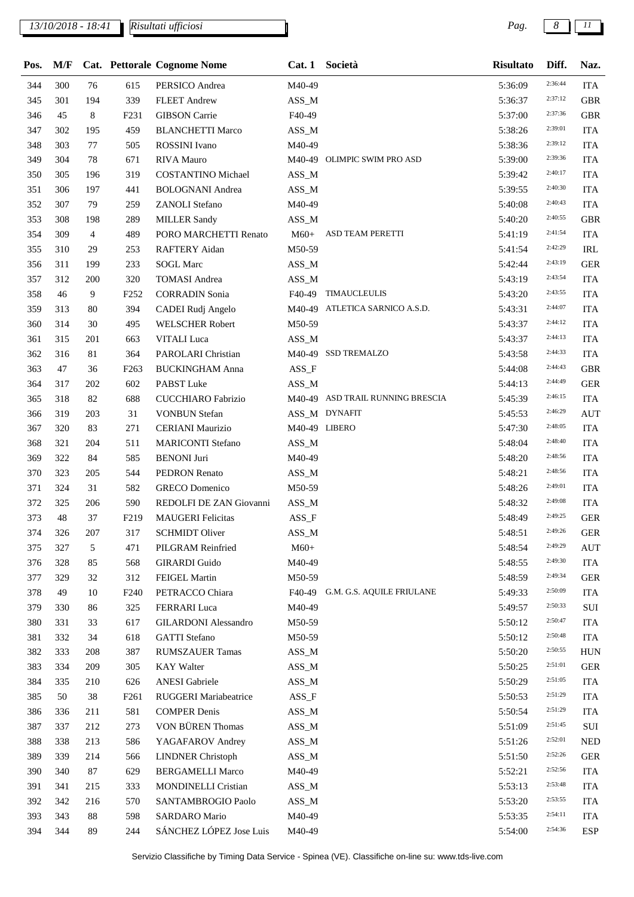## *13/10/2018 - 18:41 Pag. 8 11*

*Risultati ufficiosi*

| Pos. |     |                |                  | M/F Cat. Pettorale Cognome Nome |               | Cat. 1 Società                   | <b>Risultato</b>   | Diff.   | Naz.        |
|------|-----|----------------|------------------|---------------------------------|---------------|----------------------------------|--------------------|---------|-------------|
| 344  | 300 | 76             | 615              | PERSICO Andrea                  | M40-49        |                                  | 5:36:09            | 2:36:44 | <b>ITA</b>  |
| 345  | 301 | 194            | 339              | <b>FLEET Andrew</b>             | $ASS\_M$      |                                  | 5:36:37            | 2:37:12 | <b>GBR</b>  |
| 346  | 45  | 8              | F <sub>231</sub> | <b>GIBSON</b> Carrie            | F40-49        |                                  | 5:37:00            | 2:37:36 | <b>GBR</b>  |
| 347  | 302 | 195            | 459              | <b>BLANCHETTI Marco</b>         | ASS_M         |                                  | 5:38:26            | 2:39:01 | <b>ITA</b>  |
| 348  | 303 | 77             | 505              | ROSSINI Ivano                   | M40-49        |                                  | 5:38:36            | 2:39:12 | <b>ITA</b>  |
| 349  | 304 | 78             | 671              | <b>RIVA</b> Mauro               |               | M40-49 OLIMPIC SWIM PRO ASD      | 5:39:00            | 2:39:36 | <b>ITA</b>  |
| 350  | 305 | 196            | 319              | <b>COSTANTINO Michael</b>       | ASS_M         |                                  | 5:39:42            | 2:40:17 | <b>ITA</b>  |
| 351  | 306 | 197            | 441              | <b>BOLOGNANI</b> Andrea         | $ASS\_M$      |                                  | 5:39:55            | 2:40:30 | <b>ITA</b>  |
| 352  | 307 | 79             | 259              | <b>ZANOLI</b> Stefano           | M40-49        |                                  | 5:40:08            | 2:40:43 | <b>ITA</b>  |
| 353  | 308 | 198            | 289              | <b>MILLER Sandy</b>             | ASS_M         |                                  | 5:40:20            | 2:40:55 | <b>GBR</b>  |
| 354  | 309 | $\overline{4}$ | 489              | PORO MARCHETTI Renato           | $M60+$        | ASD TEAM PERETTI                 | 5:41:19            | 2:41:54 | <b>ITA</b>  |
| 355  | 310 | 29             | 253              | <b>RAFTERY Aidan</b>            | M50-59        |                                  | 5:41:54            | 2:42:29 | <b>IRL</b>  |
| 356  | 311 | 199            | 233              | <b>SOGL Marc</b>                | ASS_M         |                                  | 5:42:44            | 2:43:19 | <b>GER</b>  |
| 357  | 312 | 200            | 320              | <b>TOMASI Andrea</b>            | $ASS\_M$      |                                  | 5:43:19            | 2:43:54 | <b>ITA</b>  |
| 358  | 46  | 9              | F <sub>252</sub> | <b>CORRADIN Sonia</b>           |               | F40-49 TIMAUCLEULIS              | 5:43:20            | 2:43:55 | <b>ITA</b>  |
| 359  | 313 | 80             | 394              | CADEI Rudj Angelo               |               | M40-49 ATLETICA SARNICO A.S.D.   | 5:43:31            | 2:44:07 | <b>ITA</b>  |
| 360  | 314 | 30             | 495              | <b>WELSCHER Robert</b>          | M50-59        |                                  | 5:43:37            | 2:44:12 | <b>ITA</b>  |
| 361  | 315 | 201            | 663              | VITALI Luca                     | ASS_M         |                                  | 5:43:37            | 2:44:13 | <b>ITA</b>  |
| 362  | 316 | 81             | 364              | PAROLARI Christian              |               | M40-49 SSD TREMALZO              | 5:43:58            | 2:44:33 | <b>ITA</b>  |
| 363  | 47  | 36             | F <sub>263</sub> | <b>BUCKINGHAM Anna</b>          | ASS_F         |                                  | 5:44:08            | 2:44:43 | <b>GBR</b>  |
| 364  | 317 | 202            | 602              | PABST Luke                      | ASS_M         |                                  | 5:44:13            | 2:44:49 | <b>GER</b>  |
| 365  | 318 | 82             | 688              | <b>CUCCHIARO</b> Fabrizio       |               | M40-49 ASD TRAIL RUNNING BRESCIA | 5:45:39            | 2:46:15 | <b>ITA</b>  |
| 366  | 319 | 203            | 31               | <b>VONBUN Stefan</b>            |               | ASS_M DYNAFIT                    | 5:45:53            | 2:46:29 | <b>AUT</b>  |
| 367  | 320 | 83             | 271              | <b>CERIANI</b> Maurizio         | M40-49 LIBERO |                                  | 5:47:30            | 2:48:05 | <b>ITA</b>  |
| 368  | 321 | 204            | 511              | <b>MARICONTI Stefano</b>        | $ASS\_M$      |                                  | 5:48:04            | 2:48:40 | <b>ITA</b>  |
| 369  | 322 | 84             | 585              | <b>BENONI</b> Juri              | M40-49        |                                  | 5:48:20            | 2:48:56 | <b>ITA</b>  |
| 370  | 323 | 205            | 544              | PEDRON Renato                   | ASS_M         |                                  | 5:48:21            | 2:48:56 | <b>ITA</b>  |
| 371  | 324 | 31             | 582              | <b>GRECO</b> Domenico           | M50-59        |                                  | 5:48:26            | 2:49:01 | <b>ITA</b>  |
| 372  | 325 | 206            | 590              | REDOLFI DE ZAN Giovanni         | ASS_M         |                                  | 5:48:32            | 2:49:08 | <b>ITA</b>  |
| 373  | 48  | 37             | F <sub>219</sub> | <b>MAUGERI</b> Felicitas        | ASS_F         |                                  | 5:48:49            | 2:49:25 | <b>GER</b>  |
| 374  | 326 | 207            | 317              | <b>SCHMIDT Oliver</b>           | $ASS\_M$      |                                  | 5:48:51            | 2:49:26 | ${\tt GER}$ |
| 375  | 327 | 5              | 471              | PILGRAM Reinfried               | $M60+$        |                                  | 5:48:54            | 2:49:29 | <b>AUT</b>  |
| 376  | 328 | 85             | 568              | <b>GIRARDI</b> Guido            | M40-49        |                                  | 5:48:55            | 2:49:30 | <b>ITA</b>  |
| 377  | 329 | 32             | 312              | FEIGEL Martin                   | M50-59        |                                  | 5:48:59            | 2:49:34 | <b>GER</b>  |
| 378  | 49  | 10             | F <sub>240</sub> | PETRACCO Chiara                 | F40-49        | G.M. G.S. AQUILE FRIULANE        | 5:49:33            | 2:50:09 | <b>ITA</b>  |
| 379  | 330 | 86             | 325              | FERRARI Luca                    | M40-49        |                                  | 5:49:57            | 2:50:33 | $\rm SUI$   |
| 380  | 331 | 33             | 617              | <b>GILARDONI</b> Alessandro     | M50-59        |                                  | 5:50:12            | 2:50:47 | <b>ITA</b>  |
| 381  | 332 | 34             | 618              | <b>GATTI</b> Stefano            | M50-59        |                                  | 5:50:12            | 2:50:48 | <b>ITA</b>  |
| 382  | 333 | 208            | 387              | <b>RUMSZAUER Tamas</b>          | $ASS\_M$      |                                  | 5:50:20            | 2:50:55 | <b>HUN</b>  |
| 383  | 334 | 209            | 305              | <b>KAY Walter</b>               | ASS_M         |                                  | 5:50:25            | 2:51:01 | <b>GER</b>  |
| 384  | 335 | 210            | 626              | <b>ANESI</b> Gabriele           | $ASS\_M$      |                                  | 5:50:29            | 2:51:05 | <b>ITA</b>  |
| 385  | 50  | 38             | F <sub>261</sub> | RUGGERI Mariabeatrice           | $ASS_F$       |                                  | 5:50:53            | 2:51:29 | <b>ITA</b>  |
| 386  | 336 | 211            | 581              | <b>COMPER Denis</b>             | ASS_M         |                                  | 5:50:54            | 2:51:29 | <b>ITA</b>  |
| 387  | 337 | 212            | 273              | VON BÜREN Thomas                | $ASS\_M$      |                                  | 5:51:09            | 2:51:45 | SUI         |
| 388  | 338 | 213            | 586              | YAGAFAROV Andrey                | $ASS\_M$      |                                  | 5:51:26            | 2:52:01 | <b>NED</b>  |
| 389  | 339 | 214            | 566              | <b>LINDNER Christoph</b>        | ASS_M         |                                  | 5:51:50            | 2:52:26 | <b>GER</b>  |
| 390  | 340 | 87             | 629              | <b>BERGAMELLI Marco</b>         | M40-49        |                                  | 5:52:21            | 2:52:56 | <b>ITA</b>  |
| 391  | 341 | 215            | 333              | MONDINELLI Cristian             | $ASS\_M$      |                                  | 5:53:13            | 2:53:48 | <b>ITA</b>  |
| 392  | 342 | 216            | 570              | SANTAMBROGIO Paolo              | ASS_M         |                                  |                    | 2:53:55 | <b>ITA</b>  |
| 393  | 343 | 88             | 598              | <b>SARDARO</b> Mario            | M40-49        |                                  | 5:53:20<br>5:53:35 | 2:54:11 | <b>ITA</b>  |
|      |     | 89             |                  | SÁNCHEZ LÓPEZ Jose Luis         |               |                                  |                    | 2:54:36 | <b>ESP</b>  |
| 394  | 344 |                | 244              |                                 | M40-49        |                                  | 5:54:00            |         |             |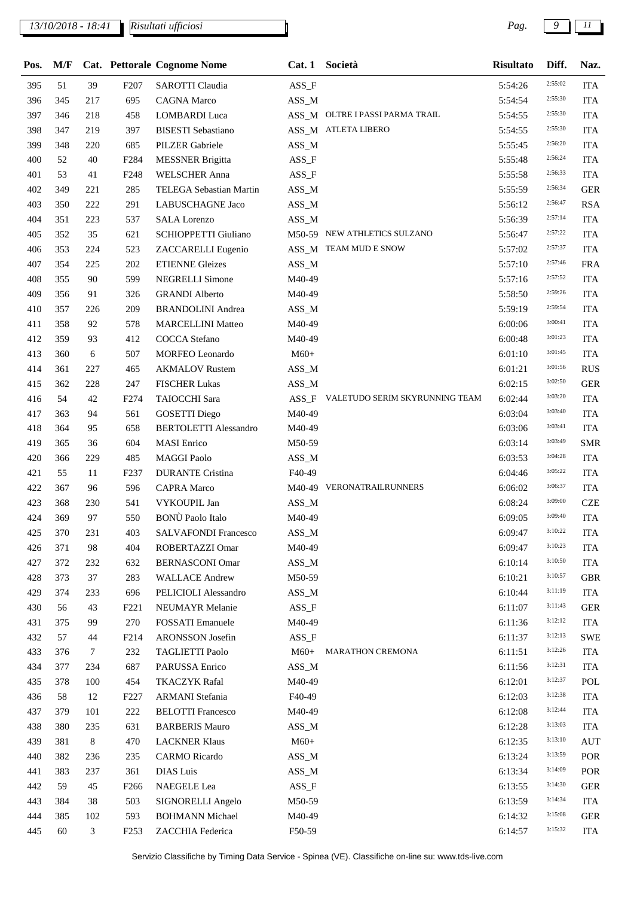## *13/10/2018 - 18:41 Pag. 9 11*

| Pos. | M/F |         |                  | Cat. Pettorale Cognome Nome  | Cat.1    | Società                              | <b>Risultato</b> | Diff.   | Naz.       |
|------|-----|---------|------------------|------------------------------|----------|--------------------------------------|------------------|---------|------------|
| 395  | 51  | 39      | F <sub>207</sub> | SAROTTI Claudia              | $ASS_F$  |                                      | 5:54:26          | 2:55:02 | <b>ITA</b> |
| 396  | 345 | 217     | 695              | <b>CAGNA</b> Marco           | ASS_M    |                                      | 5:54:54          | 2:55:30 | <b>ITA</b> |
| 397  | 346 | 218     | 458              | <b>LOMBARDI</b> Luca         |          | ASS_M OLTRE I PASSI PARMA TRAIL      | 5:54:55          | 2:55:30 | <b>ITA</b> |
| 398  | 347 | 219     | 397              | <b>BISESTI</b> Sebastiano    |          | ASS_M ATLETA LIBERO                  | 5:54:55          | 2:55:30 | <b>ITA</b> |
| 399  | 348 | 220     | 685              | PILZER Gabriele              | $ASS\_M$ |                                      | 5:55:45          | 2:56:20 | <b>ITA</b> |
| 400  | 52  | 40      | F284             | <b>MESSNER Brigitta</b>      | $ASS_F$  |                                      | 5:55:48          | 2:56:24 | <b>ITA</b> |
| 401  | 53  | 41      | F <sub>248</sub> | <b>WELSCHER Anna</b>         | ASS_F    |                                      | 5:55:58          | 2:56:33 | <b>ITA</b> |
| 402  | 349 | 221     | 285              | TELEGA Sebastian Martin      | $ASS\_M$ |                                      | 5:55:59          | 2:56:34 | <b>GER</b> |
| 403  | 350 | 222     | 291              | LABUSCHAGNE Jaco             | $ASS\_M$ |                                      | 5:56:12          | 2:56:47 | <b>RSA</b> |
| 404  | 351 | 223     | 537              | <b>SALA</b> Lorenzo          | $ASS\_M$ |                                      | 5:56:39          | 2:57:14 | <b>ITA</b> |
| 405  | 352 | 35      | 621              | <b>SCHIOPPETTI Giuliano</b>  |          | M50-59 NEW ATHLETICS SULZANO         | 5:56:47          | 2:57:22 | <b>ITA</b> |
| 406  | 353 | 224     | 523              | ZACCARELLI Eugenio           |          | ASS_M TEAM MUD E SNOW                | 5:57:02          | 2:57:37 | <b>ITA</b> |
| 407  | 354 | 225     | 202              | <b>ETIENNE Gleizes</b>       | ASS_M    |                                      | 5:57:10          | 2:57:46 | <b>FRA</b> |
| 408  | 355 | 90      | 599              | <b>NEGRELLI Simone</b>       | M40-49   |                                      | 5:57:16          | 2:57:52 | <b>ITA</b> |
| 409  | 356 | 91      | 326              | <b>GRANDI Alberto</b>        | M40-49   |                                      | 5:58:50          | 2:59:26 | <b>ITA</b> |
| 410  | 357 | 226     | 209              | <b>BRANDOLINI</b> Andrea     | ASS_M    |                                      | 5:59:19          | 2:59:54 | <b>ITA</b> |
| 411  | 358 | 92      | 578              | <b>MARCELLINI Matteo</b>     | M40-49   |                                      | 6:00:06          | 3:00:41 | <b>ITA</b> |
| 412  | 359 | 93      | 412              | <b>COCCA</b> Stefano         | M40-49   |                                      | 6:00:48          | 3:01:23 | <b>ITA</b> |
| 413  | 360 | 6       | 507              | MORFEO Leonardo              | $M60+$   |                                      | 6:01:10          | 3:01:45 | <b>ITA</b> |
| 414  | 361 | 227     | 465              | <b>AKMALOV Rustem</b>        | ASS_M    |                                      | 6:01:21          | 3:01:56 | <b>RUS</b> |
| 415  | 362 | 228     | 247              | <b>FISCHER Lukas</b>         | ASS_M    |                                      | 6:02:15          | 3:02:50 | <b>GER</b> |
| 416  | 54  | 42      | F <sub>274</sub> | <b>TAIOCCHI</b> Sara         |          | ASS_F VALETUDO SERIM SKYRUNNING TEAM | 6:02:44          | 3:03:20 | <b>ITA</b> |
| 417  | 363 | 94      | 561              | <b>GOSETTI Diego</b>         | M40-49   |                                      | 6:03:04          | 3:03:40 | <b>ITA</b> |
| 418  | 364 | 95      | 658              | <b>BERTOLETTI Alessandro</b> | M40-49   |                                      | 6:03:06          | 3:03:41 | <b>ITA</b> |
| 419  | 365 | 36      | 604              | <b>MASI</b> Enrico           | M50-59   |                                      | 6:03:14          | 3:03:49 | <b>SMR</b> |
| 420  | 366 | 229     | 485              | <b>MAGGI Paolo</b>           | ASS_M    |                                      | 6:03:53          | 3:04:28 | <b>ITA</b> |
| 421  | 55  | 11      | F <sub>237</sub> | <b>DURANTE Cristina</b>      | F40-49   |                                      | 6:04:46          | 3:05:22 | <b>ITA</b> |
| 422  | 367 | 96      | 596              | <b>CAPRA Marco</b>           |          | M40-49 VERONATRAILRUNNERS            | 6:06:02          | 3:06:37 | <b>ITA</b> |
| 423  | 368 | 230     | 541              | VYKOUPIL Jan                 | ASS_M    |                                      | 6:08:24          | 3:09:00 | <b>CZE</b> |
| 424  | 369 | 97      | 550              | <b>BONÙ</b> Paolo Italo      | M40-49   |                                      | 6:09:05          | 3:09:40 | <b>ITA</b> |
| 425  | 370 | 231     | 403              | <b>SALVAFONDI Francesco</b>  | ASS_M    |                                      | 6:09:47          | 3:10:22 | <b>ITA</b> |
| 426  | 371 | 98      | 404              | ROBERTAZZI Omar              | M40-49   |                                      | 6:09:47          | 3:10:23 | <b>ITA</b> |
| 427  | 372 | 232     | 632              | <b>BERNASCONI Omar</b>       | $ASS\_M$ |                                      | 6:10:14          | 3:10:50 | <b>ITA</b> |
| 428  | 373 | 37      | 283              | <b>WALLACE Andrew</b>        | M50-59   |                                      | 6:10:21          | 3:10:57 | <b>GBR</b> |
| 429  | 374 | 233     | 696              | PELICIOLI Alessandro         | ASS_M    |                                      | 6:10:44          | 3:11:19 | <b>ITA</b> |
| 430  | 56  | 43      | F <sub>221</sub> | NEUMAYR Melanie              | $ASS_F$  |                                      | 6:11:07          | 3:11:43 | <b>GER</b> |
| 431  | 375 | 99      | 270              | <b>FOSSATI</b> Emanuele      | M40-49   |                                      | 6:11:36          | 3:12:12 | <b>ITA</b> |
| 432  | 57  | 44      | F214             | ARONSSON Josefin             | ASS_F    |                                      | 6:11:37          | 3:12:13 | <b>SWE</b> |
| 433  | 376 | 7       | 232              | <b>TAGLIETTI Paolo</b>       | $M60+$   | <b>MARATHON CREMONA</b>              | 6:11:51          | 3:12:26 | <b>ITA</b> |
| 434  | 377 | 234     | 687              | PARUSSA Enrico               | ASS_M    |                                      | 6:11:56          | 3:12:31 | <b>ITA</b> |
| 435  | 378 | 100     | 454              | <b>TKACZYK Rafal</b>         | M40-49   |                                      | 6:12:01          | 3:12:37 | POL        |
| 436  | 58  | 12      | F <sub>227</sub> | <b>ARMANI</b> Stefania       | F40-49   |                                      | 6:12:03          | 3:12:38 | <b>ITA</b> |
| 437  | 379 | 101     | 222              | <b>BELOTTI</b> Francesco     | M40-49   |                                      | 6:12:08          | 3:12:44 | <b>ITA</b> |
| 438  | 380 | 235     | 631              | <b>BARBERIS Mauro</b>        | ASS_M    |                                      | 6:12:28          | 3:13:03 | <b>ITA</b> |
| 439  | 381 | $\,8\,$ | 470              | <b>LACKNER Klaus</b>         | $M60+$   |                                      | 6:12:35          | 3:13:10 | <b>AUT</b> |
| 440  | 382 | 236     | 235              | <b>CARMO</b> Ricardo         | ASS_M    |                                      | 6:13:24          | 3:13:59 | POR        |
| 441  | 383 | 237     | 361              | DIAS Luis                    | ASS_M    |                                      | 6:13:34          | 3:14:09 | POR        |
| 442  | 59  | 45      | F <sub>266</sub> | NAEGELE Lea                  | $ASS_F$  |                                      | 6:13:55          | 3:14:30 | <b>GER</b> |
| 443  | 384 | 38      | 503              | SIGNORELLI Angelo            | M50-59   |                                      | 6:13:59          | 3:14:34 | <b>ITA</b> |
| 444  | 385 | 102     | 593              | <b>BOHMANN Michael</b>       | M40-49   |                                      | 6:14:32          | 3:15:08 | <b>GER</b> |
| 445  | 60  | 3       | F <sub>253</sub> | ZACCHIA Federica             | F50-59   |                                      | 6:14:57          | 3:15:32 | <b>ITA</b> |
|      |     |         |                  |                              |          |                                      |                  |         |            |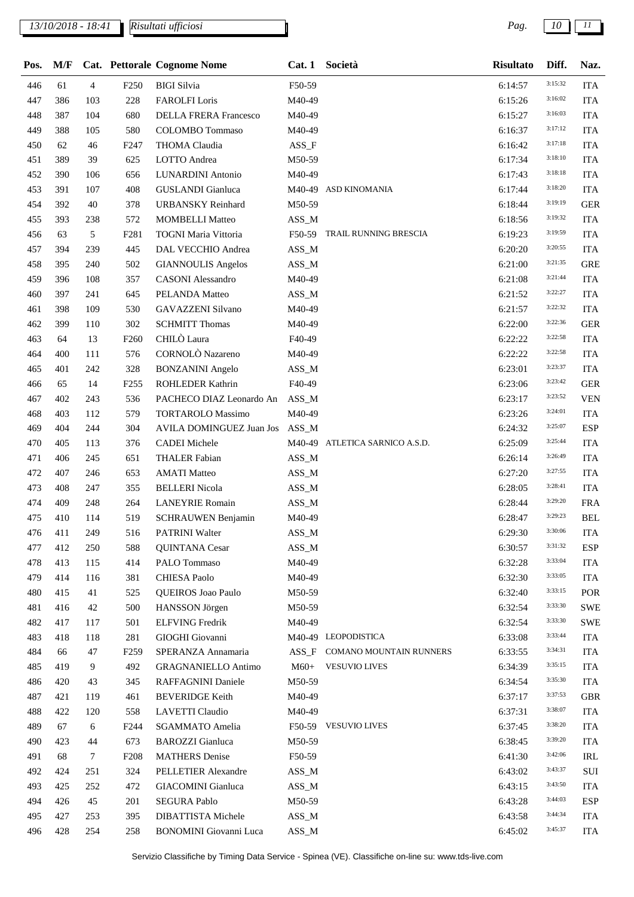## *13/10/2018 - 18:41 Pag. 10 11*

*Risultati ufficiosi*

| Pos. | M/F |                |                  | Cat. Pettorale Cognome Nome                      |          | Cat. 1 Società                 | <b>Risultato</b> | Diff.   | Naz.       |
|------|-----|----------------|------------------|--------------------------------------------------|----------|--------------------------------|------------------|---------|------------|
| 446  | 61  | $\overline{4}$ | F <sub>250</sub> | <b>BIGI</b> Silvia                               | F50-59   |                                | 6:14:57          | 3:15:32 | <b>ITA</b> |
| 447  | 386 | 103            | 228              | <b>FAROLFI</b> Loris                             | M40-49   |                                | 6:15:26          | 3:16:02 | <b>ITA</b> |
| 448  | 387 | 104            | 680              | <b>DELLA FRERA Francesco</b>                     | M40-49   |                                | 6:15:27          | 3:16:03 | <b>ITA</b> |
| 449  | 388 | 105            | 580              | <b>COLOMBO</b> Tommaso                           | M40-49   |                                | 6:16:37          | 3:17:12 | <b>ITA</b> |
| 450  | 62  | 46             | F <sub>247</sub> | THOMA Claudia                                    | $ASS_F$  |                                | 6:16:42          | 3:17:18 | <b>ITA</b> |
| 451  | 389 | 39             | 625              | LOTTO Andrea                                     | M50-59   |                                | 6:17:34          | 3:18:10 | <b>ITA</b> |
| 452  | 390 | 106            | 656              | <b>LUNARDINI</b> Antonio                         | M40-49   |                                | 6:17:43          | 3:18:18 | <b>ITA</b> |
| 453  | 391 | 107            | 408              | <b>GUSLANDI</b> Gianluca                         |          | M40-49 ASD KINOMANIA           | 6:17:44          | 3:18:20 | <b>ITA</b> |
| 454  | 392 | 40             | 378              | <b>URBANSKY Reinhard</b>                         | M50-59   |                                | 6:18:44          | 3:19:19 | <b>GER</b> |
| 455  | 393 | 238            | 572              | <b>MOMBELLI Matteo</b>                           | ASS_M    |                                | 6:18:56          | 3:19:32 | <b>ITA</b> |
| 456  | 63  | 5              | F <sub>281</sub> | TOGNI Maria Vittoria                             |          | F50-59 TRAIL RUNNING BRESCIA   | 6:19:23          | 3:19:59 | <b>ITA</b> |
| 457  | 394 | 239            | 445              | DAL VECCHIO Andrea                               | $ASS\_M$ |                                | 6:20:20          | 3:20:55 | <b>ITA</b> |
| 458  | 395 | 240            | 502              | <b>GIANNOULIS Angelos</b>                        | $ASS\_M$ |                                | 6:21:00          | 3:21:35 | <b>GRE</b> |
| 459  | 396 | 108            | 357              | <b>CASONI</b> Alessandro                         | M40-49   |                                | 6:21:08          | 3:21:44 | <b>ITA</b> |
| 460  | 397 | 241            | 645              | PELANDA Matteo                                   | ASS_M    |                                | 6:21:52          | 3:22:27 | <b>ITA</b> |
| 461  | 398 | 109            | 530              | <b>GAVAZZENI Silvano</b>                         | M40-49   |                                | 6:21:57          | 3:22:32 | <b>ITA</b> |
| 462  | 399 | 110            | 302              | <b>SCHMITT Thomas</b>                            | M40-49   |                                | 6:22:00          | 3:22:36 | <b>GER</b> |
| 463  | 64  | 13             | F <sub>260</sub> | CHILÒ Laura                                      | F40-49   |                                | 6:22:22          | 3:22:58 | <b>ITA</b> |
| 464  | 400 | 111            | 576              | CORNOLÒ Nazareno                                 | M40-49   |                                | 6:22:22          | 3:22:58 | <b>ITA</b> |
| 465  | 401 | 242            | 328              | <b>BONZANINI</b> Angelo                          | ASS_M    |                                | 6:23:01          | 3:23:37 | <b>ITA</b> |
| 466  | 65  | 14             | F <sub>255</sub> | ROHLEDER Kathrin                                 | F40-49   |                                | 6:23:06          | 3:23:42 | <b>GER</b> |
| 467  | 402 | 243            | 536              | PACHECO DIAZ Leonardo An                         | ASS_M    |                                | 6:23:17          | 3:23:52 | <b>VEN</b> |
| 468  | 403 | 112            | 579              | <b>TORTAROLO Massimo</b>                         | M40-49   |                                | 6:23:26          | 3:24:01 | <b>ITA</b> |
| 469  | 404 | 244            | 304              | <b>AVILA DOMINGUEZ Juan Jos</b>                  | ASS_M    |                                | 6:24:32          | 3:25:07 | <b>ESP</b> |
| 470  | 405 | 113            | 376              | <b>CADEI</b> Michele                             |          | M40-49 ATLETICA SARNICO A.S.D. | 6:25:09          | 3:25:44 | <b>ITA</b> |
| 471  | 406 | 245            | 651              | <b>THALER Fabian</b>                             | ASS_M    |                                | 6:26:14          | 3:26:49 | <b>ITA</b> |
| 472  | 407 | 246            | 653              | <b>AMATI Matteo</b>                              | $ASS\_M$ |                                | 6:27:20          | 3:27:55 | <b>ITA</b> |
| 473  | 408 | 247            | 355              | <b>BELLERI</b> Nicola                            | ASS_M    |                                | 6:28:05          | 3:28:41 | <b>ITA</b> |
| 474  | 409 | 248            | 264              | <b>LANEYRIE Romain</b>                           | ASS_M    |                                | 6:28:44          | 3:29:20 | <b>FRA</b> |
| 475  | 410 | 114            | 519              | <b>SCHRAUWEN Benjamin</b>                        | M40-49   |                                | 6:28:47          | 3:29:23 | <b>BEL</b> |
| 476  | 411 | 249            | 516              | <b>PATRINI Walter</b>                            | $ASS\_M$ |                                | 6:29:30          | 3:30:06 | <b>ITA</b> |
| 477  | 412 | 250            | 588              | QUINTANA Cesar                                   | $ASS\_M$ |                                | 6:30:57          | 3:31:32 | <b>ESP</b> |
| 478  | 413 | 115            | 414              | PALO Tommaso                                     | M40-49   |                                | 6:32:28          | 3:33:04 | <b>ITA</b> |
| 479  | 414 | 116            | 381              | <b>CHIESA Paolo</b>                              | M40-49   |                                | 6:32:30          | 3:33:05 | <b>ITA</b> |
| 480  | 415 | 41             | 525              | QUEIROS Joao Paulo                               | M50-59   |                                | 6:32:40          | 3:33:15 | POR        |
| 481  | 416 | 42             | 500              | HANSSON Jörgen                                   | M50-59   |                                | 6:32:54          | 3:33:30 | <b>SWE</b> |
| 482  | 417 | 117            | 501              | <b>ELFVING</b> Fredrik                           | M40-49   |                                | 6:32:54          | 3:33:30 | <b>SWE</b> |
| 483  | 418 | 118            | 281              | GIOGHI Giovanni                                  |          | M40-49 LEOPODISTICA            | 6:33:08          | 3:33:44 | <b>ITA</b> |
| 484  | 66  | 47             | F <sub>259</sub> | SPERANZA Annamaria                               | $ASS_F$  | COMANO MOUNTAIN RUNNERS        | 6:33:55          | 3:34:31 | <b>ITA</b> |
| 485  | 419 | 9              | 492              | <b>GRAGNANIELLO Antimo</b>                       | $M60+$   | <b>VESUVIO LIVES</b>           | 6:34:39          | 3:35:15 | ITA        |
| 486  | 420 | 43             | 345              | RAFFAGNINI Daniele                               | M50-59   |                                | 6:34:54          | 3:35:30 | <b>ITA</b> |
| 487  | 421 | 119            | 461              | <b>BEVERIDGE Keith</b>                           | M40-49   |                                | 6:37:17          | 3:37:53 | <b>GBR</b> |
| 488  | 422 | 120            | 558              | LAVETTI Claudio                                  | M40-49   |                                | 6:37:31          | 3:38:07 | ITA        |
| 489  | 67  | 6              | F <sub>244</sub> | <b>SGAMMATO</b> Amelia                           | F50-59   | <b>VESUVIO LIVES</b>           | 6:37:45          | 3:38:20 | <b>ITA</b> |
| 490  | 423 | 44             | 673              | <b>BAROZZI</b> Gianluca                          | M50-59   |                                | 6:38:45          | 3:39:20 | <b>ITA</b> |
| 491  | 68  | 7              | F <sub>208</sub> | <b>MATHERS</b> Denise                            | F50-59   |                                | 6:41:30          | 3:42:06 | IRL        |
| 492  | 424 | 251            | 324              | PELLETIER Alexandre                              | $ASS\_M$ |                                | 6:43:02          | 3:43:37 | $\rm SUI$  |
| 493  | 425 | 252            | 472              | <b>GIACOMINI</b> Gianluca                        | $ASS\_M$ |                                | 6:43:15          | 3:43:50 | <b>ITA</b> |
|      |     |                |                  |                                                  |          |                                |                  | 3:44:03 |            |
| 494  | 426 | 45             | 201              | <b>SEGURA Pablo</b><br><b>DIBATTISTA Michele</b> | M50-59   |                                | 6:43:28          | 3:44:34 | <b>ESP</b> |
| 495  | 427 | 253            | 395              |                                                  | $ASS\_M$ |                                | 6:43:58          | 3:45:37 | <b>ITA</b> |
| 496  | 428 | 254            | 258              | <b>BONOMINI</b> Giovanni Luca                    | $ASS\_M$ |                                | 6:45:02          |         | <b>ITA</b> |